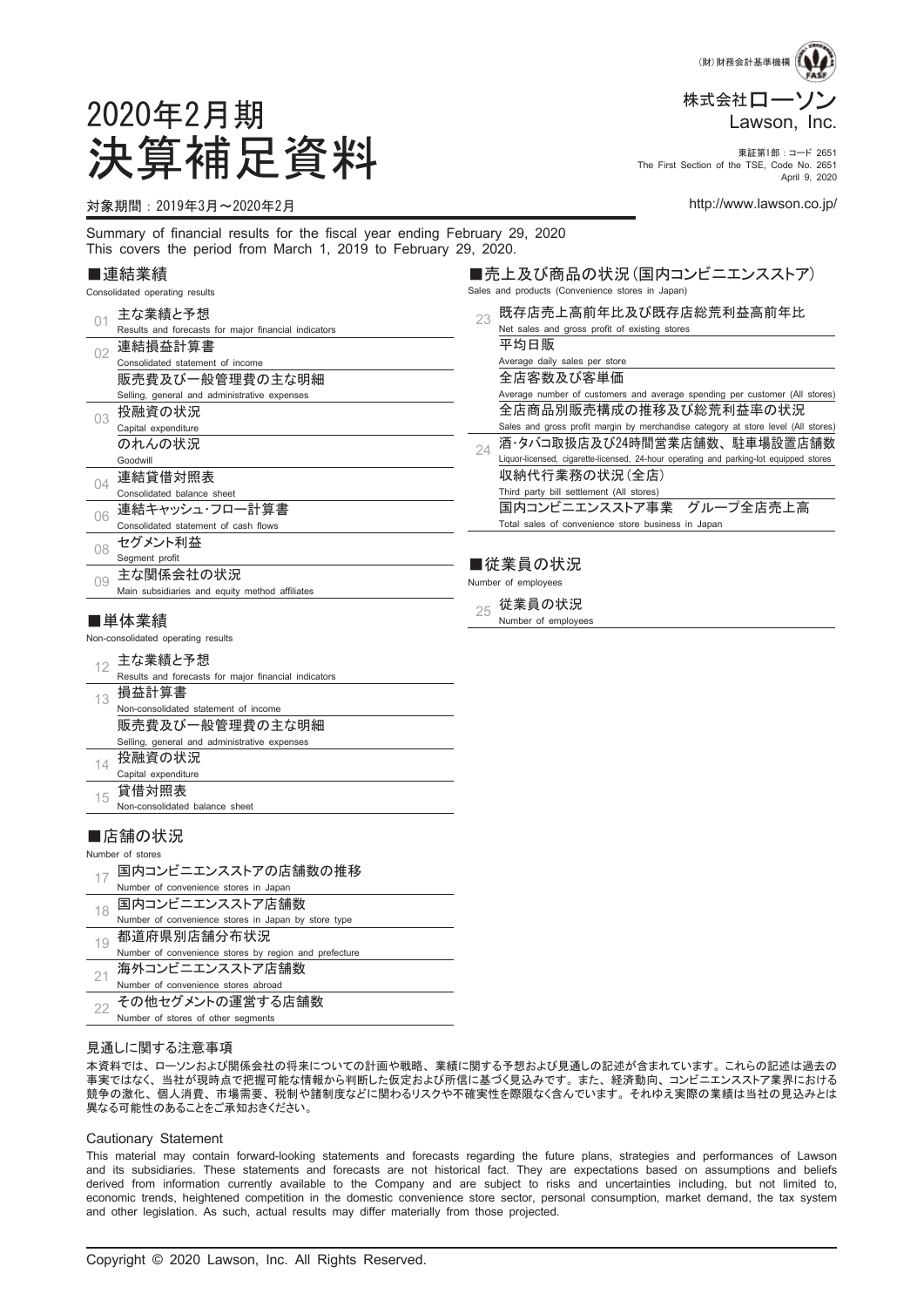

The First Section of the TSE, Code No. 2651 April 9, 2020

■売上及び商品の状況(国内コンビニエンスストア)

2020年2月期 決算補足資料 東証第1部:コード <sup>2651</sup>

#### 対象期間:2019年3月~2020年2月 http://www.lawson.co.jp/

Summary of financial results for the fiscal year ending February 29, 2020 This covers the period from March 1, 2019 to February 29, 2020.

#### ■連結業績

|     | Consolidated operating results                                                                                                                                            |    | Sales and products (Convenience stores in Japan)                                                                                                    |
|-----|---------------------------------------------------------------------------------------------------------------------------------------------------------------------------|----|-----------------------------------------------------------------------------------------------------------------------------------------------------|
| 01  | 主な業績と予想<br>Results and forecasts for major financial indicators                                                                                                           | 23 | 既存店売上高前年比及び既存店総荒利益高前年比<br>Net sales and gross profit of existing stores                                                                             |
| 02  | 連結損益計算書<br>Consolidated statement of income                                                                                                                               |    | 平均日販<br>Average daily sales per store                                                                                                               |
|     | 販売費及び一般管理費の主な明細<br>Selling, general and administrative expenses<br>投融資の状況                                                                                                 |    | 全店客数及び客単価<br>Average number of customers and average spending per customer (All stores)<br>全店商品別販売構成の推移及び総荒利益率の状況                                   |
| 03  | Capital expenditure<br>のれんの状況                                                                                                                                             | 24 | Sales and gross profit margin by merchandise category at store level (All stores)<br>酒・タバコ取扱店及び24時間営業店舗数、駐車場設置店舗数                                   |
| 04  | Goodwill<br>連結貸借対照表<br>Consolidated balance sheet                                                                                                                         |    | Liquor-licensed, cigarette-licensed, 24-hour operating and parking-lot equipped stores<br>収納代行業務の状況(全店)<br>Third party bill settlement (All stores) |
| 06  | 連結キャッシュ・フロー計算書<br>Consolidated statement of cash flows                                                                                                                    |    | 国内コンビニエンスストア事業 グループ全店売上高<br>Total sales of convenience store business in Japan                                                                      |
| 08  | セグメント利益<br>Segment profit                                                                                                                                                 |    | ■従業員の状況                                                                                                                                             |
| 0.9 | 主な関係会社の状況<br>Main subsidiaries and equity method affiliates                                                                                                               |    | Number of employees                                                                                                                                 |
|     | ■単体業績                                                                                                                                                                     | 25 | 従業員の状況<br>Number of employees                                                                                                                       |
|     | Non-consolidated operating results                                                                                                                                        |    |                                                                                                                                                     |
| 12  | 主な業績と予想<br>Results and forecasts for major financial indicators<br>$\mathbf{r} = \mathbf{r} \cdot \mathbf{r} = \mathbf{r} \cdot \mathbf{r} = \mathbf{r} \cdot \mathbf{r}$ |    |                                                                                                                                                     |
|     |                                                                                                                                                                           |    |                                                                                                                                                     |

|    | 損益計算書                                        |
|----|----------------------------------------------|
|    | Non-consolidated statement of income         |
|    | 販売費及び一般管理費の主な明細                              |
|    | Selling, general and administrative expenses |
| 14 | 投融資の状況                                       |
|    | Capital expenditure                          |
|    | $44.14 + 107 +$                              |

 $15$  貸借対照表 Non-consolidated balance sheet

#### ■店舗の状況

Number of stores

47 国内コンビニエンスストアの店舗数の推移

| Number of convenience stores in Japan                 |
|-------------------------------------------------------|
| 国内コンビニエンスストア店舗数                                       |
| Number of convenience stores in Japan by store type   |
| 都道府県別店舗分布状況                                           |
| Number of convenience stores by region and prefecture |
| 海外コンビニエンスストア店舗数                                       |
| Number of convenience stores abroad                   |
| その他セグメントの運営する店舗数                                      |
| Number of stores of other segments                    |

#### 見通しに関する注意事項

本資料では、 ローソンおよび関係会社の将来についての計画や戦略、 業績に関する予想および見通しの記述が含まれています。 これらの記述は過去の 事実ではなく、 当社が現時点で把握可能な情報から判断した仮定および所信に基づく見込みです。 また、 経済動向、 コンビニエンスストア業界における 競争の激化、 個人消費、 市場需要、 税制や諸制度などに関わるリスクや不確実性を際限なく含んでいます。 それゆえ実際の業績は当社の見込みとは 異なる可能性のあることをご承知おきください。

#### Cautionary Statement

This material may contain forward-looking statements and forecasts regarding the future plans, strategies and performances of Lawson and its subsidiaries. These statements and forecasts are not historical fact. They are expectations based on assumptions and beliefs derived from information currently available to the Company and are subject to risks and uncertainties including, but not limited to, economic trends, heightened competition in the domestic convenience store sector, personal consumption, market demand, the tax system and other legislation. As such, actual results may differ materially from those projected.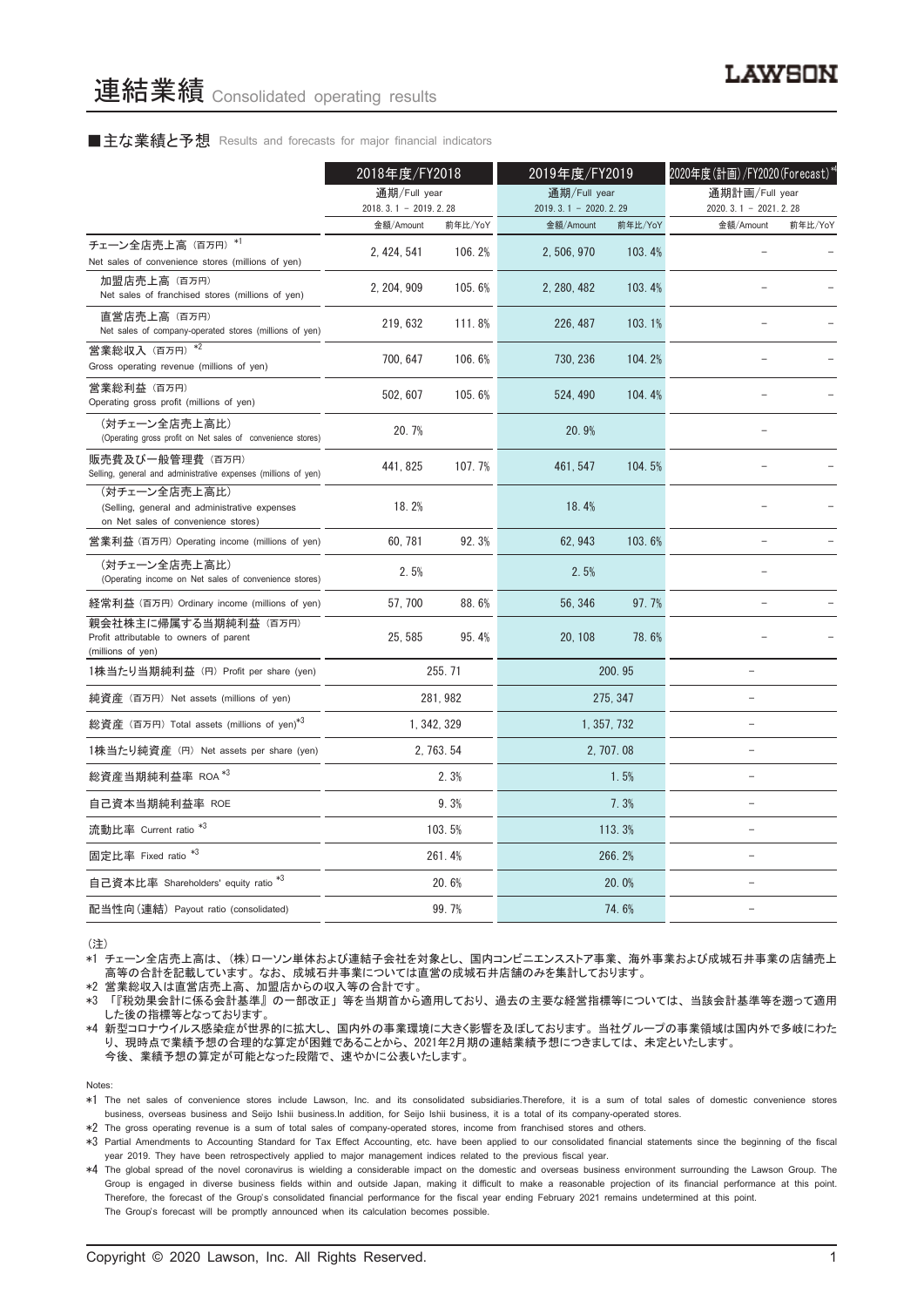#### ■主な業績と予想 Results and forecasts for major financial indicators

|                                                                                                       | 2018年度/FY2018                       |             | 2019年度/FY2019                       |             | 2020年度(計画)/FY2020 (Forecast)*4      |         |
|-------------------------------------------------------------------------------------------------------|-------------------------------------|-------------|-------------------------------------|-------------|-------------------------------------|---------|
|                                                                                                       | 通期/Full year                        |             | 通期/Full year                        |             | 通期計画/Full year                      |         |
|                                                                                                       | $2018.3.1 - 2019.2.28$<br>金額/Amount | 前年比/YoY     | $2019.3.1 - 2020.2.29$<br>金額/Amount | 前年比/YoY     | $2020.3.1 - 2021.2.28$<br>金額/Amount | 前年比/YoY |
| チェーン全店売上高 (百万円) *1<br>Net sales of convenience stores (millions of yen)                               | 2, 424, 541                         | 106.2%      | 2, 506, 970                         | 103.4%      |                                     |         |
| 加盟店売上高 (百万円)<br>Net sales of franchised stores (millions of yen)                                      | 2.204.909                           | 105.6%      | 2.280.482                           | 103.4%      |                                     |         |
| 直営店売上高 (百万円)<br>Net sales of company-operated stores (millions of yen)                                | 219, 632                            | 111.8%      | 226, 487                            | 103.1%      |                                     |         |
| 営業総収入 (百万円) *2<br>Gross operating revenue (millions of yen)                                           | 700, 647                            | 106.6%      | 730, 236                            | 104.2%      |                                     |         |
| 営業総利益 (百万円)<br>Operating gross profit (millions of yen)                                               | 502, 607                            | 105.6%      | 524, 490                            | 104.4%      |                                     |         |
| (対チェーン全店売上高比)<br>(Operating gross profit on Net sales of convenience stores)                          | 20.7%                               |             | 20.9%                               |             |                                     |         |
| 販売費及び一般管理費 (百万円)<br>Selling, general and administrative expenses (millions of yen)                    | 441, 825                            | 107.7%      | 461.547                             | 104.5%      |                                     |         |
| (対チェーン全店売上高比)<br>(Selling, general and administrative expenses<br>on Net sales of convenience stores) | 18.2%                               |             | 18.4%                               |             |                                     |         |
| 営業利益 (百万円) Operating income (millions of yen)                                                         | 60.781                              | 92.3%       | 62.943                              | 103.6%      |                                     |         |
| (対チェーン全店売上高比)<br>(Operating income on Net sales of convenience stores)                                | 2.5%                                |             | 2.5%                                |             | $\equiv$                            |         |
| 経常利益 (百万円) Ordinary income (millions of yen)                                                          | 57.700                              | 88.6%       | 56.346                              | 97.7%       |                                     |         |
| 親会社株主に帰属する当期純利益 (百万円)<br>Profit attributable to owners of parent<br>(millions of yen)                 | 25, 585                             | 95.4%       | 20, 108                             | 78.6%       |                                     |         |
| 1株当たり当期純利益 (円) Profit per share (yen)                                                                 |                                     | 255.71      |                                     | 200.95      | $\overline{\phantom{0}}$            |         |
| 純資産 (百万円) Net assets (millions of yen)                                                                |                                     | 281, 982    |                                     | 275, 347    |                                     |         |
| 総資産 (百万円) Total assets (millions of yen)*3                                                            |                                     | 1, 342, 329 |                                     | 1, 357, 732 | L.                                  |         |
| 1株当たり純資産 (円) Net assets per share (yen)                                                               |                                     | 2, 763, 54  |                                     | 2, 707.08   | $\equiv$                            |         |
| 総資産当期純利益率 ROA $^{*3}$                                                                                 |                                     | 2.3%        |                                     | 1.5%        |                                     |         |
| 自己資本当期純利益率 ROE                                                                                        |                                     | 9.3%        |                                     | 7.3%        | $\qquad \qquad -$                   |         |
| 流動比率 Current ratio <sup>*3</sup>                                                                      |                                     | 103.5%      |                                     | 113.3%      | $\overline{\phantom{0}}$            |         |
| 固定比率 Fixed ratio <sup>*3</sup>                                                                        |                                     | 261.4%      |                                     | 266.2%      | $\equiv$                            |         |
| 自己資本比率 Shareholders' equity ratio *3                                                                  |                                     | 20.6%       |                                     | 20.0%       | L.                                  |         |
| 配当性向(連結) Payout ratio (consolidated)                                                                  |                                     | 99.7%       |                                     | 74.6%       |                                     |         |

(注)

\*1 チェーン全店売上高は、 (株)ローソン単体および連結子会社を対象とし、 国内コンビニエンスストア事業、 海外事業および成城石井事業の店舗売上 高等の合計を記載しています。 なお、 成城石井事業については直営の成城石井店舗のみを集計しております。

\*2 営業総収入は直営店売上高、加盟店からの収入等の合計です

\*3 「『税効果会計に係る会計基準』 の一部改正」 等を当期首から適用しており、 過去の主要な経営指標等については、 当該会計基準等を遡って適用 した後の指標等となっております。

\*4 新型コロナウイルス感染症が世界的に拡大し、 国内外の事業環境に大きく影響を及ぼしております。 当社グループの事業領域は国内外で多岐にわた り、 現時点で業績予想の合理的な算定が困難であることから、 2021年2月期の連結業績予想につきましては、 未定といたします。 今後、 業績予想の算定が可能となった段階で、 速やかに公表いたします。

Notes:

\*1 The net sales of convenience stores include Lawson, Inc. and its consolidated subsidiaries.Therefore, it is a sum of total sales of domestic convenience stores business, overseas business and Seijo Ishii business.In addition, for Seijo Ishii business, it is a total of its company-operated stores.

\*2 The gross operating revenue is a sum of total sales of company-operated stores, income from franchised stores and others.

\*3 Partial Amendments to Accounting Standard for Tax Effect Accounting, etc. have been applied to our consolidated financial statements since the beginning of the fiscal year 2019. They have been retrospectively applied to major management indices related to the previous fiscal year.

\*4 The global spread of the novel coronavirus is wielding a considerable impact on the domestic and overseas business environment surrounding the Lawson Group. The Group is engaged in diverse business fields within and outside Japan, making it difficult to make a reasonable projection of its financial performance at this point. Therefore, the forecast of the Group's consolidated financial performance for the fiscal year ending February 2021 remains undetermined at this point. The Group's forecast will be promptly announced when its calculation becomes possible.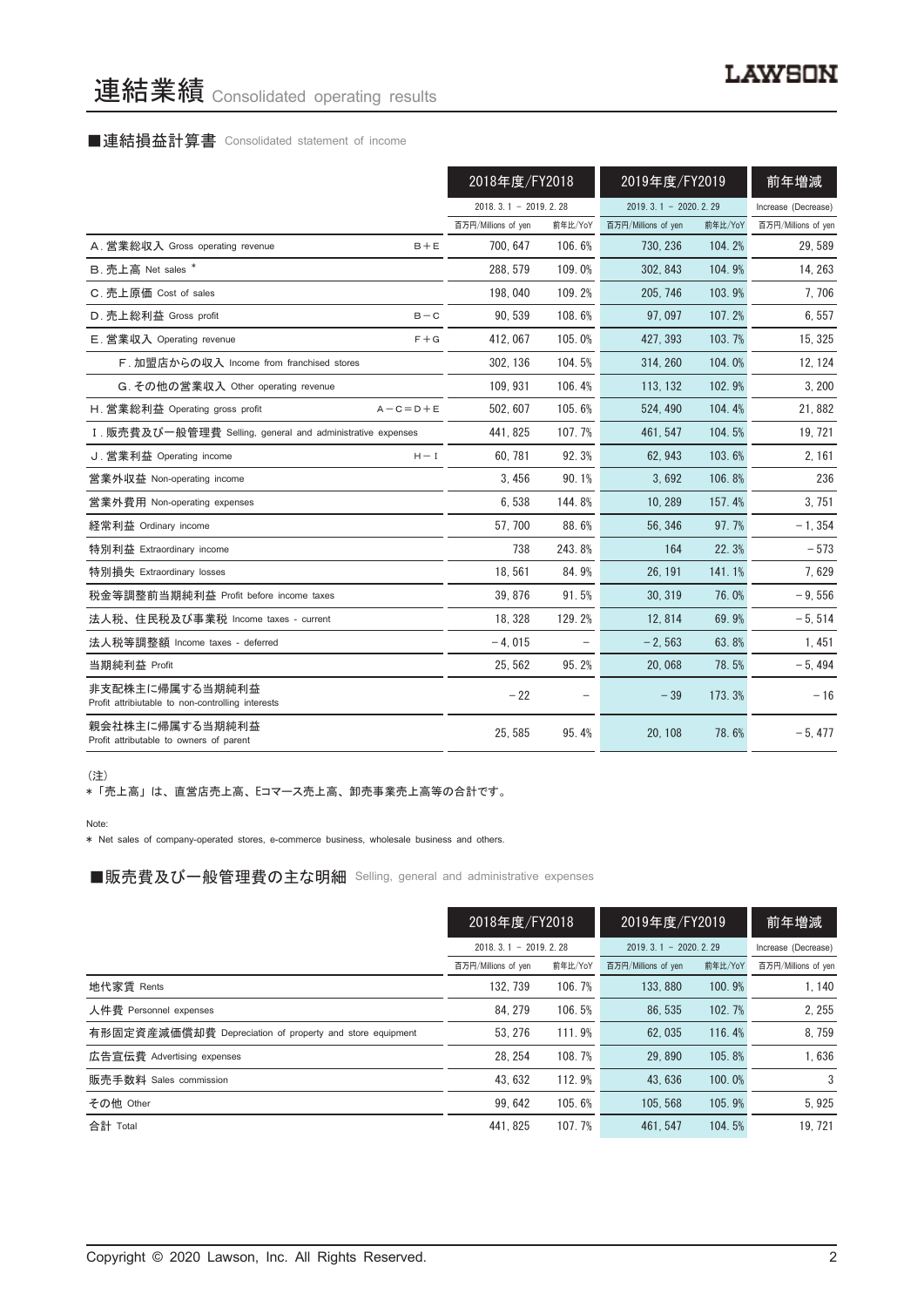# 連結業績 Consolidated operating results

# ■連結損益計算書 Consolidated statement of income

|                                                                      | 2018年度/FY2018          |         | 2019年度/FY2019          |         | 前年増減                |
|----------------------------------------------------------------------|------------------------|---------|------------------------|---------|---------------------|
|                                                                      | $2018.3.1 - 2019.2.28$ |         | $2019.3.1 - 2020.2.29$ |         | Increase (Decrease) |
|                                                                      | 百万円/Millions of yen    | 前年比/YoY | 百万円/Millions of yen    | 前年比/YoY | 百万円/Millions of yen |
| A. 営業総収入 Gross operating revenue<br>$B + E$                          | 700.647                | 106.6%  | 730.236                | 104.2%  | 29,589              |
| B. 売上高 Net sales *                                                   | 288.579                | 109.0%  | 302.843                | 104.9%  | 14, 263             |
| C. 売上原価 Cost of sales                                                | 198,040                | 109.2%  | 205, 746               | 103.9%  | 7,706               |
| D. 売上総利益 Gross profit<br>$B - C$                                     | 90.539                 | 108.6%  | 97.097                 | 107.2%  | 6,557               |
| E. 営業収入 Operating revenue<br>$F + G$                                 | 412.067                | 105.0%  | 427.393                | 103.7%  | 15, 325             |
| F. 加盟店からの収入 Income from franchised stores                            | 302, 136               | 104.5%  | 314, 260               | 104.0%  | 12, 124             |
| G. その他の営業収入 Other operating revenue                                  | 109.931                | 106.4%  | 113, 132               | 102.9%  | 3, 200              |
| H. 営業総利益 Operating gross profit<br>$A - C = D + E$                   | 502.607                | 105.6%  | 524.490                | 104.4%  | 21,882              |
| I. 販売費及び一般管理費 Selling, general and administrative expenses           | 441.825                | 107.7%  | 461.547                | 104.5%  | 19, 721             |
| J. 営業利益 Operating income<br>$H - I$                                  | 60,781                 | 92.3%   | 62, 943                | 103.6%  | 2, 161              |
| 営業外収益 Non-operating income                                           | 3.456                  | 90.1%   | 3.692                  | 106.8%  | 236                 |
| 営業外費用 Non-operating expenses                                         | 6,538                  | 144.8%  | 10.289                 | 157.4%  | 3.751               |
| 経常利益 Ordinary income                                                 | 57,700                 | 88.6%   | 56, 346                | 97.7%   | $-1, 354$           |
| 特別利益 Extraordinary income                                            | 738                    | 243.8%  | 164                    | 22.3%   | $-573$              |
| 特別損失 Extraordinary losses                                            | 18,561                 | 84.9%   | 26, 191                | 141.1%  | 7,629               |
| 税金等調整前当期純利益 Profit before income taxes                               | 39.876                 | 91.5%   | 30.319                 | 76.0%   | $-9,556$            |
| 法人税、住民税及び事業税 Income taxes - current                                  | 18, 328                | 129.2%  | 12, 814                | 69.9%   | $-5,514$            |
| 法人税等調整額 Income taxes - deferred                                      | $-4,015$               |         | $-2,563$               | 63.8%   | 1,451               |
| 当期純利益 Profit                                                         | 25.562                 | 95.2%   | 20.068                 | 78.5%   | $-5,494$            |
| 非支配株主に帰属する当期純利益<br>Profit attribiutable to non-controlling interests | $-22$                  |         | $-39$                  | 173.3%  | $-16$               |
| 親会社株主に帰属する当期純利益<br>Profit attributable to owners of parent           | 25, 585                | 95.4%   | 20.108                 | 78.6%   | $-5,477$            |

(注)

\* 「売上高」 は、 直営店売上高、 Eコマース売上高、 卸売事業売上高等の合計です。

Note:

\* Net sales of company-operated stores, e-commerce business, wholesale business and others.

■販売費及び一般管理費の主な明細 Selling, general and administrative expenses

|                                                          | 2018年度/FY2018       |                        | 2019年度/FY2019       |                        | 前年増減                |
|----------------------------------------------------------|---------------------|------------------------|---------------------|------------------------|---------------------|
|                                                          |                     | $2018.3.1 - 2019.2.28$ |                     | $2019.3.1 - 2020.2.29$ |                     |
|                                                          | 百万円/Millions of yen | 前年比/YoY                | 百万円/Millions of yen | 前年比/YoY                | 百万円/Millions of yen |
| 地代家賃 Rents                                               | 132.739             | 106.7%                 | 133, 880            | 100.9%                 | 1.140               |
| 人件費 Personnel expenses                                   | 84.279              | 106.5%                 | 86.535              | 102.7%                 | 2.255               |
| 有形固定資産減価償却費 Depreciation of property and store equipment | 53.276              | 111.9%                 | 62.035              | 116.4%                 | 8,759               |
| 広告宣伝費 Advertising expenses                               | 28.254              | 108.7%                 | 29.890              | 105.8%                 | 1,636               |
| 販売手数料 Sales commission                                   | 43.632              | 112.9%                 | 43.636              | 100.0%                 | 3                   |
| その他 Other                                                | 99.642              | 105.6%                 | 105.568             | 105.9%                 | 5.925               |
| 合計 Total                                                 | 441.825             | 107.7%                 | 461.547             | 104.5%                 | 19.721              |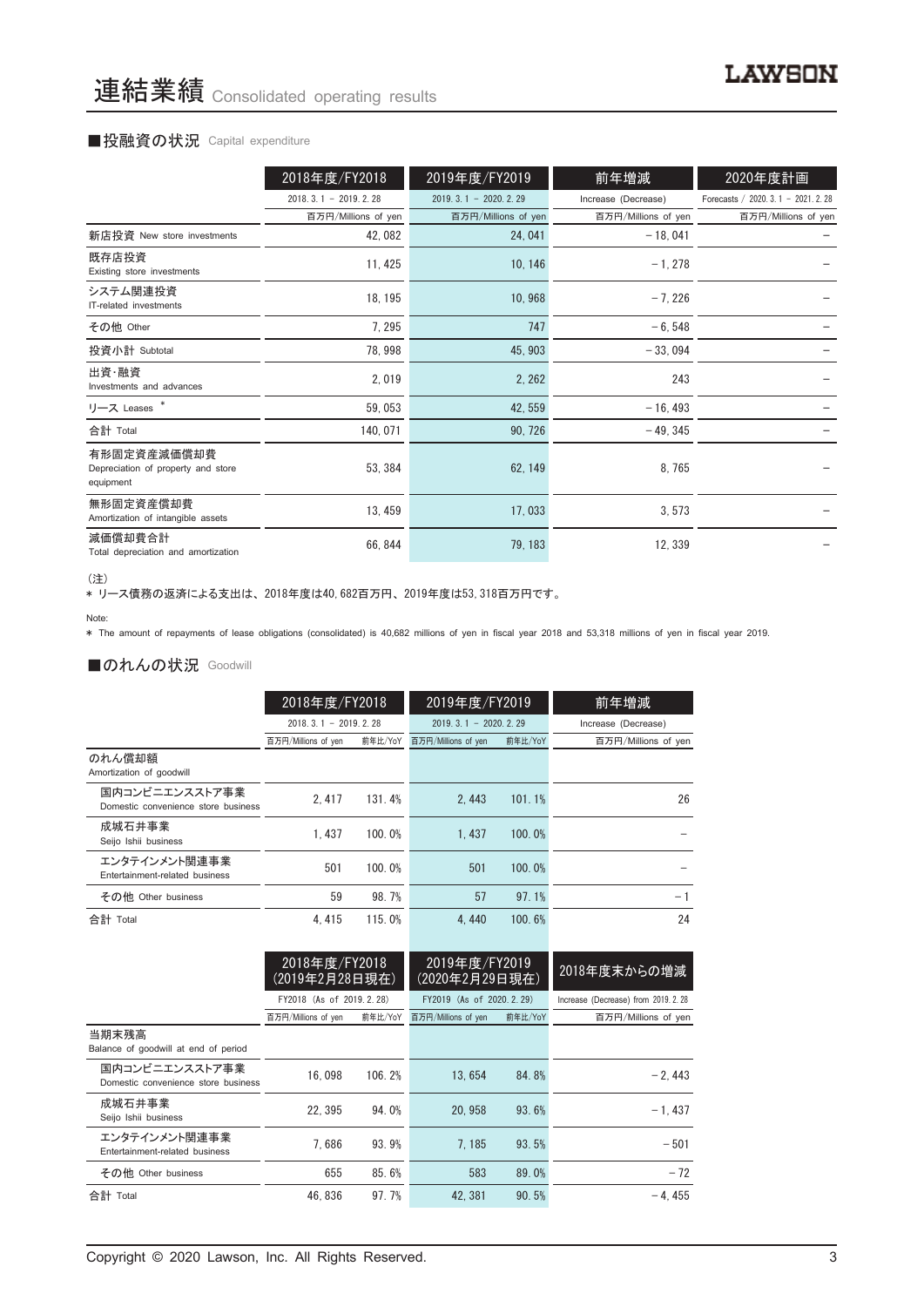#### ■投融資の状況 Capital expenditure

|                                                                | 2018年度/FY2018          | 2019年度/FY2019          | 前年増減                | 2020年度計画                                |
|----------------------------------------------------------------|------------------------|------------------------|---------------------|-----------------------------------------|
|                                                                | $2018.3.1 - 2019.2.28$ | $2019.3.1 - 2020.2.29$ | Increase (Decrease) | Forecasts / 2020, 3, $1 - 2021$ , 2, 28 |
|                                                                | 百万円/Millions of yen    | 百万円/Millions of yen    | 百万円/Millions of yen | 百万円/Millions of yen                     |
| 新店投資 New store investments                                     | 42,082                 | 24, 041                | $-18,041$           |                                         |
| 既存店投資<br>Existing store investments                            | 11, 425                | 10, 146                | $-1, 278$           |                                         |
| システム関連投資<br>IT-related investments                             | 18, 195                | 10,968                 | $-7,226$            |                                         |
| その他 Other                                                      | 7, 295                 | 747                    | $-6,548$            |                                         |
| 投資小計 Subtotal                                                  | 78,998                 | 45, 903                | $-33,094$           |                                         |
| 出資・融資<br>Investments and advances                              | 2,019                  | 2, 262                 | 243                 |                                         |
| リース Leases *                                                   | 59,053                 | 42, 559                | $-16, 493$          |                                         |
| 合計 Total                                                       | 140, 071               | 90, 726                | $-49, 345$          |                                         |
| 有形固定資産減価償却費<br>Depreciation of property and store<br>equipment | 53, 384                | 62, 149                | 8,765               |                                         |
| 無形固定資産償却費<br>Amortization of intangible assets                 | 13, 459                | 17,033                 | 3,573               |                                         |
| 減価償却費合計<br>Total depreciation and amortization                 | 66, 844                | 79, 183                | 12, 339             |                                         |

<sup>(</sup>注)

、一。<br>\* リース債務の返済による支出は、2018年度は40,682百万円、2019年度は53,318百万円です。

\* The amount of repayments of lease obligations (consolidated) is 40,682 millions of yen in fiscal year 2018 and 53,318 millions of yen in fiscal year 2019.

### ■のれんの状況 Goodwill

|                                                       | 2018年度/FY2018          |         | 2019年度/FY2019          |         | 前年増減                |  |
|-------------------------------------------------------|------------------------|---------|------------------------|---------|---------------------|--|
|                                                       | $2018.3.1 - 2019.2.28$ |         | $2019.3.1 - 2020.2.29$ |         | Increase (Decrease) |  |
|                                                       | 百万円/Millions of yen    | 前年比/YoY | 百万円/Millions of yen    | 前年比/YoY | 百万円/Millions of yen |  |
| のれん償却額<br>Amortization of goodwill                    |                        |         |                        |         |                     |  |
| 国内コンビニエンスストア事業<br>Domestic convenience store business | 2.417                  | 131.4%  | 2.443                  | 101.1%  | 26                  |  |
| 成城石井事業<br>Seijo Ishii business                        | 1.437                  | 100.0%  | 1.437                  | 100.0%  |                     |  |
| エンタテインメント関連事業<br>Entertainment-related business       | 501                    | 100.0%  | 501                    | 100.0%  |                     |  |
| その他 Other business                                    | 59                     | 98.7%   | 57                     | 97.1%   | $-1$                |  |
| 合計 Total                                              | 4.415                  | 115.0%  | 4.440                  | 100.6%  | 24                  |  |

|                                                       | 2018年度/FY2018<br>(2019年2月28日現在) |         | 2019年度/FY2019<br>(2020年2月29日現在) |       | 2018年度末からの増減                         |
|-------------------------------------------------------|---------------------------------|---------|---------------------------------|-------|--------------------------------------|
|                                                       | FY2018 (As of 2019.2.28)        |         | FY2019 (As of 2020, 2, 29)      |       | Increase (Decrease) from 2019, 2, 28 |
|                                                       | 百万円/Millions of yen             | 前年比/YoY | 前年比/YoY<br>百万円/Millions of yen  |       | 百万円/Millions of yen                  |
| 当期末残高<br>Balance of goodwill at end of period         |                                 |         |                                 |       |                                      |
| 国内コンビニエンスストア事業<br>Domestic convenience store business | 16.098                          | 106.2%  | 13.654                          | 84.8% | $-2.443$                             |
| 成城石井事業<br>Seijo Ishii business                        | 22.395                          | 94.0%   | 20.958                          | 93.6% | $-1.437$                             |
| エンタテインメント関連事業<br>Entertainment-related business       | 7.686                           | 93.9%   | 7.185                           | 93.5% | $-501$                               |
| その他 Other business                                    | 655                             | 85.6%   | 583                             | 89.0% | $-72$                                |
| 合計 Total                                              | 46.836                          | 97.7%   | 42.381                          | 90.5% | $-4.455$                             |

Note: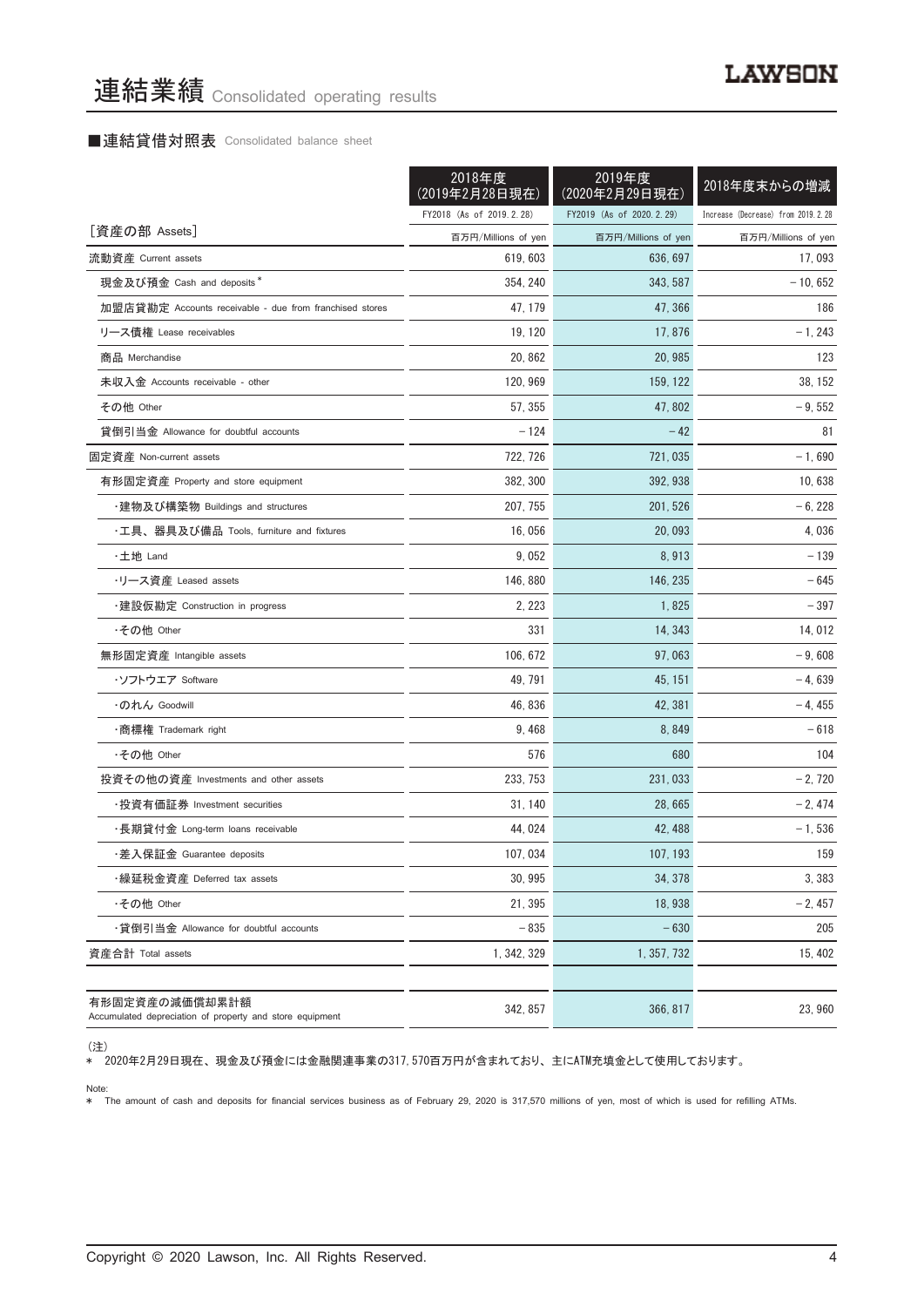### ■連結貸借対照表 Consolidated balance sheet

|                                                                            | 2018年度<br>(2019年2月28日現在) | 2019年度<br>(2020年2月29日現在) | 2018年度末からの増減                       |
|----------------------------------------------------------------------------|--------------------------|--------------------------|------------------------------------|
|                                                                            | FY2018 (As of 2019.2.28) | FY2019 (As of 2020.2.29) | Increase (Decrease) from 2019.2.28 |
| [資産の部 Assets]                                                              | 百万円/Millions of yen      | 百万円/Millions of yen      | 百万円/Millions of yen                |
| 流動資産 Current assets                                                        | 619, 603                 | 636, 697                 | 17,093                             |
| 現金及び預金 Cash and deposits*                                                  | 354, 240                 | 343, 587                 | $-10,652$                          |
| 加盟店貸勘定 Accounts receivable - due from franchised stores                    | 47, 179                  | 47, 366                  | 186                                |
| リース債権 Lease receivables                                                    | 19, 120                  | 17,876                   | $-1, 243$                          |
| 商品 Merchandise                                                             | 20, 862                  | 20, 985                  | 123                                |
| 未収入金 Accounts receivable - other                                           | 120, 969                 | 159, 122                 | 38, 152                            |
| その他 Other                                                                  | 57, 355                  | 47,802                   | $-9,552$                           |
| 貸倒引当金 Allowance for doubtful accounts                                      | $-124$                   | $-42$                    | 81                                 |
| 固定資産 Non-current assets                                                    | 722, 726                 | 721, 035                 | $-1,690$                           |
| 有形固定資産 Property and store equipment                                        | 382, 300                 | 392, 938                 | 10,638                             |
| ・建物及び構築物 Buildings and structures                                          | 207, 755                 | 201, 526                 | $-6, 228$                          |
| ・工具、器具及び備品 Tools, furniture and fixtures                                   | 16,056                   | 20, 093                  | 4,036                              |
| ・土地 Land                                                                   | 9,052                    | 8,913                    | - 139                              |
| ・リース資産 Leased assets                                                       | 146, 880                 | 146, 235                 | - 645                              |
| ・建設仮勘定 Construction in progress                                            | 2, 223                   | 1,825                    | $-397$                             |
| ・その他 Other                                                                 | 331                      | 14, 343                  | 14, 012                            |
| 無形固定資産 Intangible assets                                                   | 106, 672                 | 97,063                   | $-9,608$                           |
| ・ソフトウエア Soffware                                                           | 49, 791                  | 45, 151                  | $-4,639$                           |
| ・のれん Goodwill                                                              | 46, 836                  | 42, 381                  | $-4,455$                           |
| ・商標権 Trademark right                                                       | 9,468                    | 8,849                    | - 618                              |
| ・その他 Other                                                                 | 576                      | 680                      | 104                                |
| 投資その他の資産 Investments and other assets                                      | 233, 753                 | 231, 033                 | $-2,720$                           |
| ·投資有価証券 Investment securities                                              | 31, 140                  | 28,665                   | $-2,474$                           |
| ・長期貸付金 Long-term loans receivable                                          | 44, 024                  | 42, 488                  | $-1,536$                           |
| ・差入保証金 Guarantee deposits                                                  | 107, 034                 | 107, 193                 | 159                                |
| ・繰延税金資産 Deferred tax assets                                                | 30, 995                  | 34, 378                  | 3,383                              |
| ・その他 Other                                                                 | 21, 395                  | 18.938                   | $-2,457$                           |
| ・貸倒引当金 Allowance for doubtful accounts                                     | $-835$                   | $-630$                   | 205                                |
| 資産合計 Total assets                                                          | 1, 342, 329              | 1, 357, 732              | 15, 402                            |
| 有形固定資産の減価償却累計額<br>Accumulated depreciation of property and store equipment | 342, 857                 | 366, 817                 | 23,960                             |

<sup>(</sup>注)

\* 2020年2月29日現在、 現金及び預金には金融関連事業の317,570百万円が含まれており、 主にATM充填金として使用しております。

Note:

\* The amount of cash and deposits for financial services business as of February 29, 2020 is 317,570 millions of yen, most of which is used for refilling ATMs.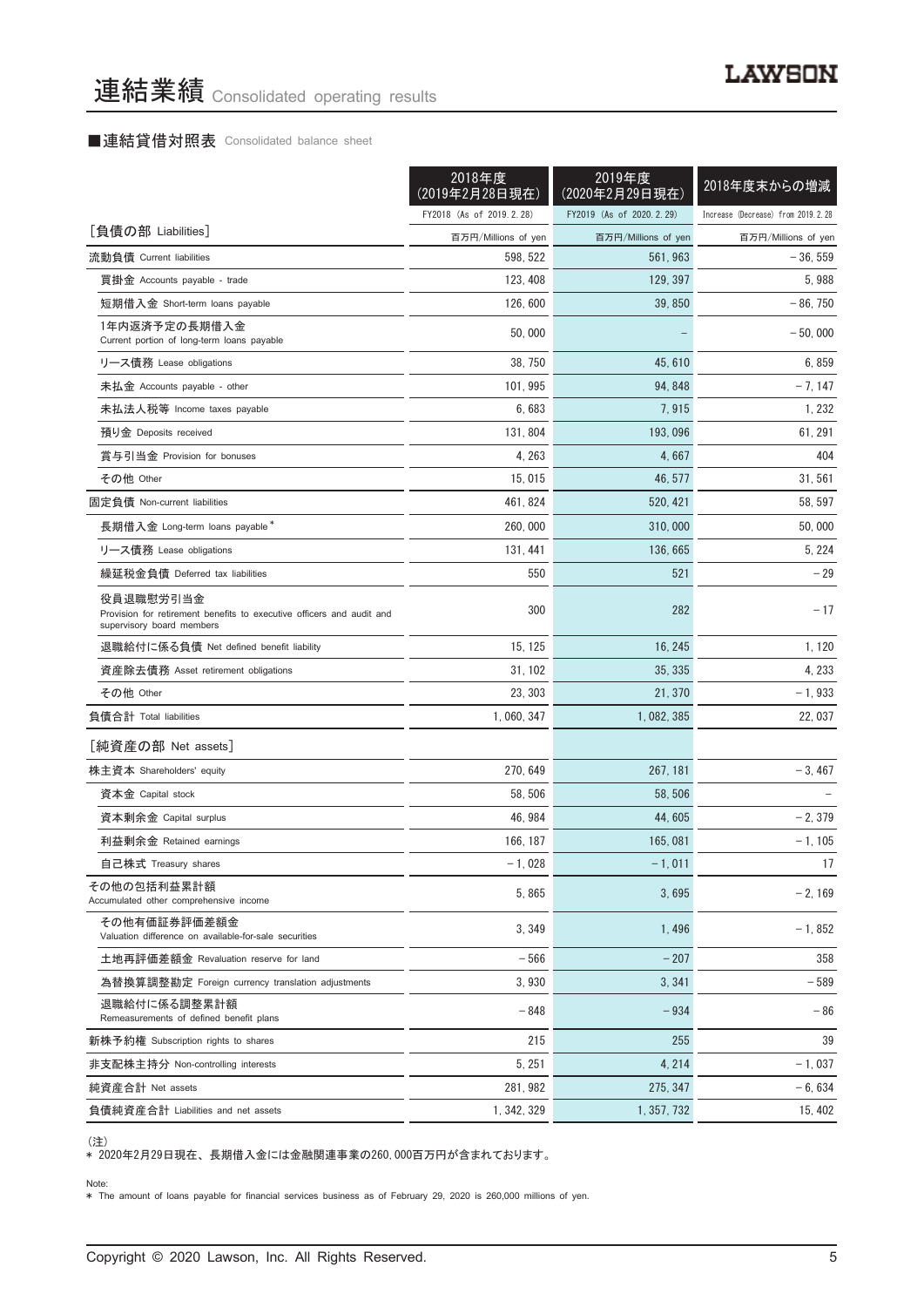# ■連結貸借対照表 Consolidated balance sheet

|                                                                                                                 | 2018年度<br>(2019年2月28日現在) | 2019年度<br>(2020年2月29日現在) | 2018年度末からの増減                       |
|-----------------------------------------------------------------------------------------------------------------|--------------------------|--------------------------|------------------------------------|
|                                                                                                                 | FY2018 (As of 2019.2.28) | FY2019 (As of 2020.2.29) | Increase (Decrease) from 2019.2.28 |
| [負債の部 Liabilities]                                                                                              | 百万円/Millions of yen      | 百万円/Millions of yen      | 百万円/Millions of yen                |
| 流動負債 Current liabilities                                                                                        | 598, 522                 | 561, 963                 | $-36,559$                          |
| 買掛金 Accounts payable - trade                                                                                    | 123, 408                 | 129, 397                 | 5,988                              |
| 短期借入金 Short-term loans payable                                                                                  | 126, 600                 | 39, 850                  | $-86,750$                          |
| 1年内返済予定の長期借入金<br>Current portion of long-term loans payable                                                     | 50,000                   |                          | $-50,000$                          |
| リース債務 Lease obligations                                                                                         | 38, 750                  | 45, 610                  | 6,859                              |
| 未払金 Accounts payable - other                                                                                    | 101, 995                 | 94, 848                  | $-7, 147$                          |
| 未払法人税等 Income taxes payable                                                                                     | 6,683                    | 7,915                    | 1, 232                             |
| 預り金 Deposits received                                                                                           | 131, 804                 | 193, 096                 | 61, 291                            |
| 賞与引当金 Provision for bonuses                                                                                     | 4, 263                   | 4,667                    | 404                                |
| その他 Other                                                                                                       | 15,015                   | 46, 577                  | 31, 561                            |
| 固定負債 Non-current liabilities                                                                                    | 461, 824                 | 520, 421                 | 58, 597                            |
| 長期借入金 Long-term loans payable*                                                                                  | 260,000                  | 310,000                  | 50,000                             |
| リース債務 Lease obligations                                                                                         | 131.441                  | 136, 665                 | 5, 224                             |
| 繰延税金負債 Deferred tax liabilities                                                                                 | 550                      | 521                      | $-29$                              |
| 役員退職慰労引当金<br>Provision for retirement benefits to executive officers and audit and<br>supervisory board members | 300                      | 282                      | $-17$                              |
| 退職給付に係る負債 Net defined benefit liability                                                                         | 15, 125                  | 16, 245                  | 1, 120                             |
| 資産除去債務 Asset retirement obligations                                                                             | 31, 102                  | 35, 335                  | 4, 233                             |
| その他 Other                                                                                                       | 23, 303                  | 21, 370                  | $-1,933$                           |
| 負債合計 Total liabilities                                                                                          | 1, 060, 347              | 1, 082, 385              | 22, 037                            |
| [純資産の部 Net assets]                                                                                              |                          |                          |                                    |
| 株主資本 Shareholders' equity                                                                                       | 270.649                  | 267, 181                 | $-3,467$                           |
| 資本金 Capital stock                                                                                               | 58, 506                  | 58,506                   |                                    |
| 資本剰余金 Capital surplus                                                                                           | 46, 984                  | 44, 605                  | $-2,379$                           |
| 利益剰余金 Retained earnings                                                                                         | 166, 187                 | 165,081                  | $-1, 105$                          |
| 自己株式 Treasury shares                                                                                            | $-1,028$                 | $-1,011$                 | $\frac{1}{2}$                      |
| その他の包括利益累計額<br>Accumulated other comprehensive income                                                           | 5.865                    | 3,695                    | $-2,169$                           |
| その他有価証券評価差額金<br>Valuation difference on available-for-sale securities                                           | 3,349                    | 1,496                    | $-1,852$                           |
| 土地再評価差額金 Revaluation reserve for land                                                                           | $-566$                   | $-207$                   | 358                                |
| 為替換算調整勘定 Foreign currency translation adjustments                                                               | 3,930                    | 3, 341                   | $-589$                             |
| 退職給付に係る調整累計額<br>Remeasurements of defined benefit plans                                                         | $-848$                   | $-934$                   | $-86$                              |
| 新株予約権 Subscription rights to shares                                                                             | 215                      | 255                      | 39                                 |
| 非支配株主持分 Non-controlling interests                                                                               | 5, 251                   | 4, 214                   | $-1,037$                           |
| 純資産合計 Net assets                                                                                                | 281, 982                 | 275, 347                 | $-6,634$                           |
| 負債純資産合計 Liabilities and net assets                                                                              | 1, 342, 329              | 1, 357, 732              | 15, 402                            |

<sup>(</sup>注)

\* 2020年2月29日現在、 長期借入金には金融関連事業の260,000百万円が含まれております。

Note: \* The amount of loans payable for financial services business as of February 29, 2020 is 260,000 millions of yen.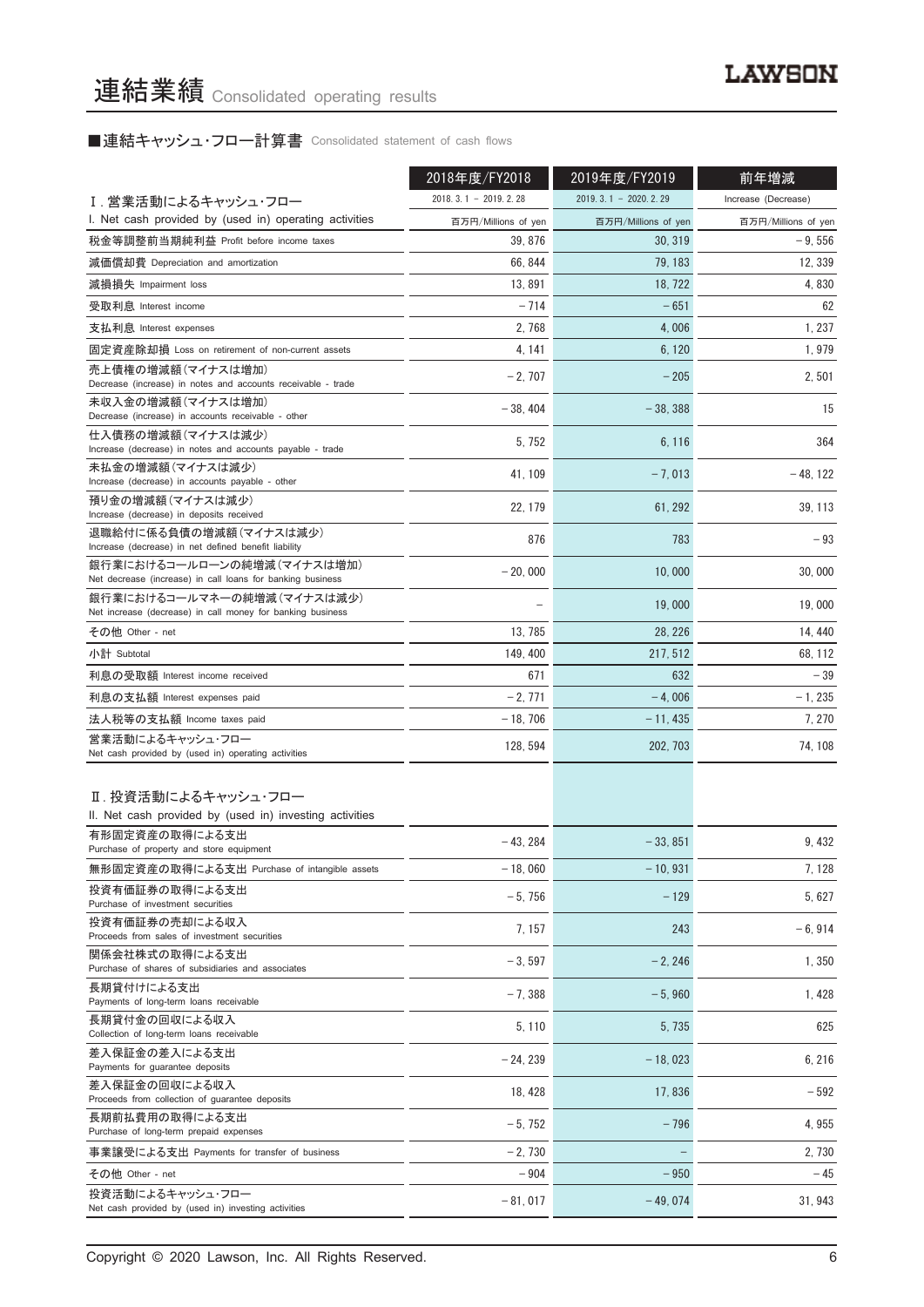■連結キャッシュ・フロー計算書 Consolidated statement of cash flows

|                                                                                          | 2018年度/FY2018          | 2019年度/FY2019          | 前年増減                |  |
|------------------------------------------------------------------------------------------|------------------------|------------------------|---------------------|--|
| I.営業活動によるキャッシュ・フロー                                                                       | $2018.3.1 - 2019.2.28$ | $2019.3.1 - 2020.2.29$ | Increase (Decrease) |  |
| I. Net cash provided by (used in) operating activities                                   | 百万円/Millions of yen    | 百万円/Millions of yen    | 百万円/Millions of yen |  |
| 税金等調整前当期純利益 Profit before income taxes                                                   | 39, 876                | 30, 319                | $-9,556$            |  |
| 減価償却費 Depreciation and amortization                                                      | 66, 844                | 79, 183                | 12, 339             |  |
| 減損損失 Impairment loss                                                                     | 13,891                 | 18, 722                | 4,830               |  |
| 受取利息 Interest income                                                                     | $-714$                 | $-651$                 | 62                  |  |
| 支払利息 Interest expenses                                                                   | 2, 768                 | 4,006                  | 1, 237              |  |
| 固定資産除却損 Loss on retirement of non-current assets                                         | 4, 141                 | 6, 120                 | 1,979               |  |
| 売上債権の増減額(マイナスは増加)                                                                        |                        |                        |                     |  |
| Decrease (increase) in notes and accounts receivable - trade                             | $-2,707$               | $-205$                 | 2,501               |  |
| 未収入金の増減額(マイナスは増加)<br>Decrease (increase) in accounts receivable - other                  | $-38,404$              | $-38,388$              | 15                  |  |
| 仕入債務の増減額(マイナスは減少)<br>Increase (decrease) in notes and accounts payable - trade           | 5, 752                 | 6, 116                 | 364                 |  |
| 未払金の増減額(マイナスは減少)<br>Increase (decrease) in accounts payable - other                      | 41, 109                | $-7,013$               | $-48, 122$          |  |
| 預り金の増減額(マイナスは減少)                                                                         |                        |                        |                     |  |
| Increase (decrease) in deposits received                                                 | 22, 179                | 61, 292                | 39, 113             |  |
| 退職給付に係る負債の増減額(マイナスは減少)<br>Increase (decrease) in net defined benefit liability           | 876                    | 783                    | $-93$               |  |
| 銀行業におけるコールローンの純増減(マイナスは増加)<br>Net decrease (increase) in call loans for banking business | $-20,000$              | 10,000                 | 30.000              |  |
| 銀行業におけるコールマネーの純増減(マイナスは減少)<br>Net increase (decrease) in call money for banking business |                        | 19,000                 | 19,000              |  |
| その他 Other - net                                                                          | 13, 785                | 28, 226                | 14, 440             |  |
| 小計 Subtotal                                                                              | 149, 400               | 217, 512               | 68, 112             |  |
| 利息の受取額 Interest income received                                                          | 671                    | 632                    | $-39$               |  |
| 利息の支払額 Interest expenses paid                                                            | $-2,771$               | $-4,006$               | - 1, 235            |  |
| 法人税等の支払額 Income taxes paid                                                               | $-18,706$              | $-11,435$              | 7, 270              |  |
| 営業活動によるキャッシュ・フロー                                                                         | 128, 594               | 202, 703               | 74, 108             |  |
| Net cash provided by (used in) operating activities                                      |                        |                        |                     |  |
| Ⅱ. 投資活動によるキャッシュ・フロー                                                                      |                        |                        |                     |  |
| II. Net cash provided by (used in) investing activities                                  |                        |                        |                     |  |
| 有形固定資産の取得による支出<br>Purchase of property and store equipment                               | $-43.284$              | $-33.851$              | 9,432               |  |
| 無形固定資産の取得による支出 Purchase of intangible assets                                             | $-18,060$              | $-10,931$              | 7, 128              |  |
| 投資有価証券の取得による支出<br>Purchase of investment securities                                      | $-5,756$               | $-129$                 | 5,627               |  |
| 投資有価証券の売却による収入                                                                           | 7, 157                 | 243                    | $-6,914$            |  |
| Proceeds from sales of investment securities<br>関係会社株式の取得による支出                           | $-3,597$               | $-2, 246$              | 1,350               |  |
| Purchase of shares of subsidiaries and associates                                        |                        |                        |                     |  |
| 長期貸付けによる支出<br>Payments of long-term loans receivable                                     | $-7,388$               | $-5,960$               | 1,428               |  |
| 長期貸付金の回収による収入<br>Collection of long-term loans receivable                                | 5, 110                 | 5, 735                 | 625                 |  |
| 差入保証金の差入による支出                                                                            | $-24, 239$             | $-18,023$              | 6, 216              |  |
| Payments for guarantee deposits<br>差入保証金の回収による収入                                         | 18, 428                | 17,836                 | $-592$              |  |
| Proceeds from collection of guarantee deposits<br>長期前払費用の取得による支出                         | $-5,752$               | $-796$                 | 4,955               |  |
| Purchase of long-term prepaid expenses                                                   |                        |                        |                     |  |
| 事業譲受による支出 Payments for transfer of business                                              | $-2,730$               | $\qquad \qquad -$      | 2, 730              |  |
| その他 Other - net<br>投資活動によるキャッシュ・フロー                                                      | $-904$                 | $-950$                 | - 45                |  |
| Net cash provided by (used in) investing activities                                      | $-81,017$              | $-49,074$              | 31, 943             |  |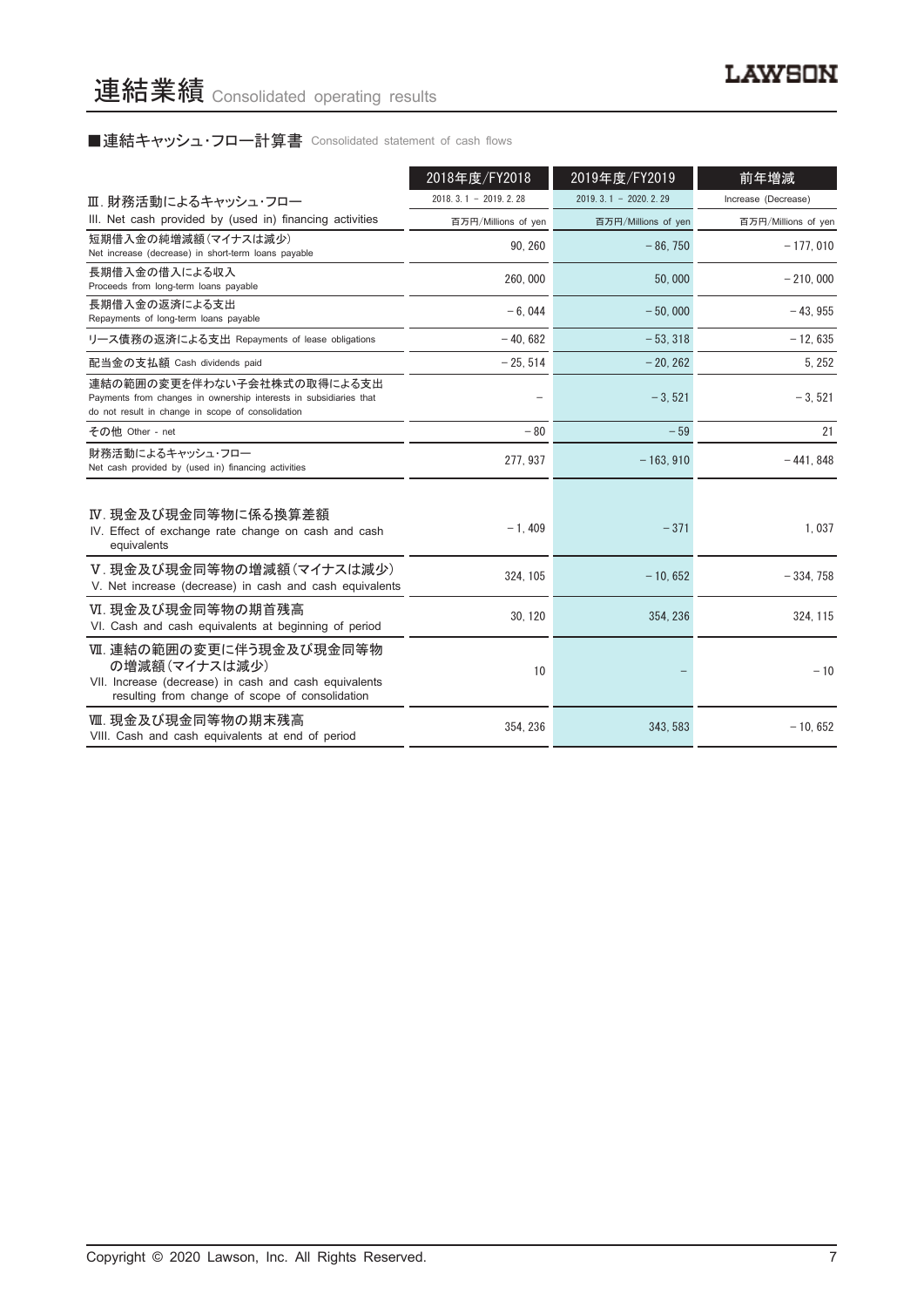# ■連結キャッシュ・フロー計算書 Consolidated statement of cash flows

|                                                                                                                                                      | 2018年度/FY2018          | 2019年度/FY2019          | 前年増減                |
|------------------------------------------------------------------------------------------------------------------------------------------------------|------------------------|------------------------|---------------------|
| Ⅲ. 財務活動によるキャッシュ・フロー                                                                                                                                  | $2018.3.1 - 2019.2.28$ | $2019.3.1 - 2020.2.29$ | Increase (Decrease) |
| III. Net cash provided by (used in) financing activities                                                                                             | 百万円/Millions of yen    | 百万円/Millions of yen    | 百万円/Millions of yen |
| 短期借入金の純増減額(マイナスは減少)<br>Net increase (decrease) in short-term loans payable                                                                           | 90.260                 | $-86,750$              | $-177.010$          |
| 長期借入金の借入による収入<br>Proceeds from long-term loans payable                                                                                               | 260,000                | 50,000                 | $-210.000$          |
| 長期借入金の返済による支出<br>Repayments of long-term loans payable                                                                                               | $-6.044$               | $-50.000$              | $-43.955$           |
| リース債務の返済による支出 Repayments of lease obligations                                                                                                        | $-40.682$              | $-53, 318$             | $-12.635$           |
| 配当金の支払額 Cash dividends paid                                                                                                                          | $-25, 514$             | $-20, 262$             | 5, 252              |
| 連結の範囲の変更を伴わない子会社株式の取得による支出<br>Payments from changes in ownership interests in subsidiaries that<br>do not result in change in scope of consolidation |                        | $-3,521$               | $-3,521$            |
| その他 Other - net                                                                                                                                      | $-80$                  | $-59$                  | 21                  |
| 財務活動によるキャッシュ・フロー<br>Net cash provided by (used in) financing activities                                                                              | 277, 937               | $-163.910$             | $-441,848$          |
| Ⅳ. 現金及び現金同等物に係る換算差額<br>IV. Effect of exchange rate change on cash and cash<br>equivalents                                                            | $-1,409$               | $-371$                 | 1,037               |
| V. 現金及び現金同等物の増減額(マイナスは減少)<br>V. Net increase (decrease) in cash and cash equivalents                                                                 | 324, 105               | $-10,652$              | $-334,758$          |
| VI. 現金及び現金同等物の期首残高<br>VI. Cash and cash equivalents at beginning of period                                                                           | 30, 120                | 354, 236               | 324, 115            |
| Ⅶ. 連結の範囲の変更に伴う現金及び現金同等物<br>の増減額(マイナスは減少)<br>VII. Increase (decrease) in cash and cash equivalents<br>resulting from change of scope of consolidation | 10                     |                        | $-10$               |
| Ⅷ. 現金及び現金同等物の期末残高<br>VIII. Cash and cash equivalents at end of period                                                                                | 354.236                | 343.583                | $-10.652$           |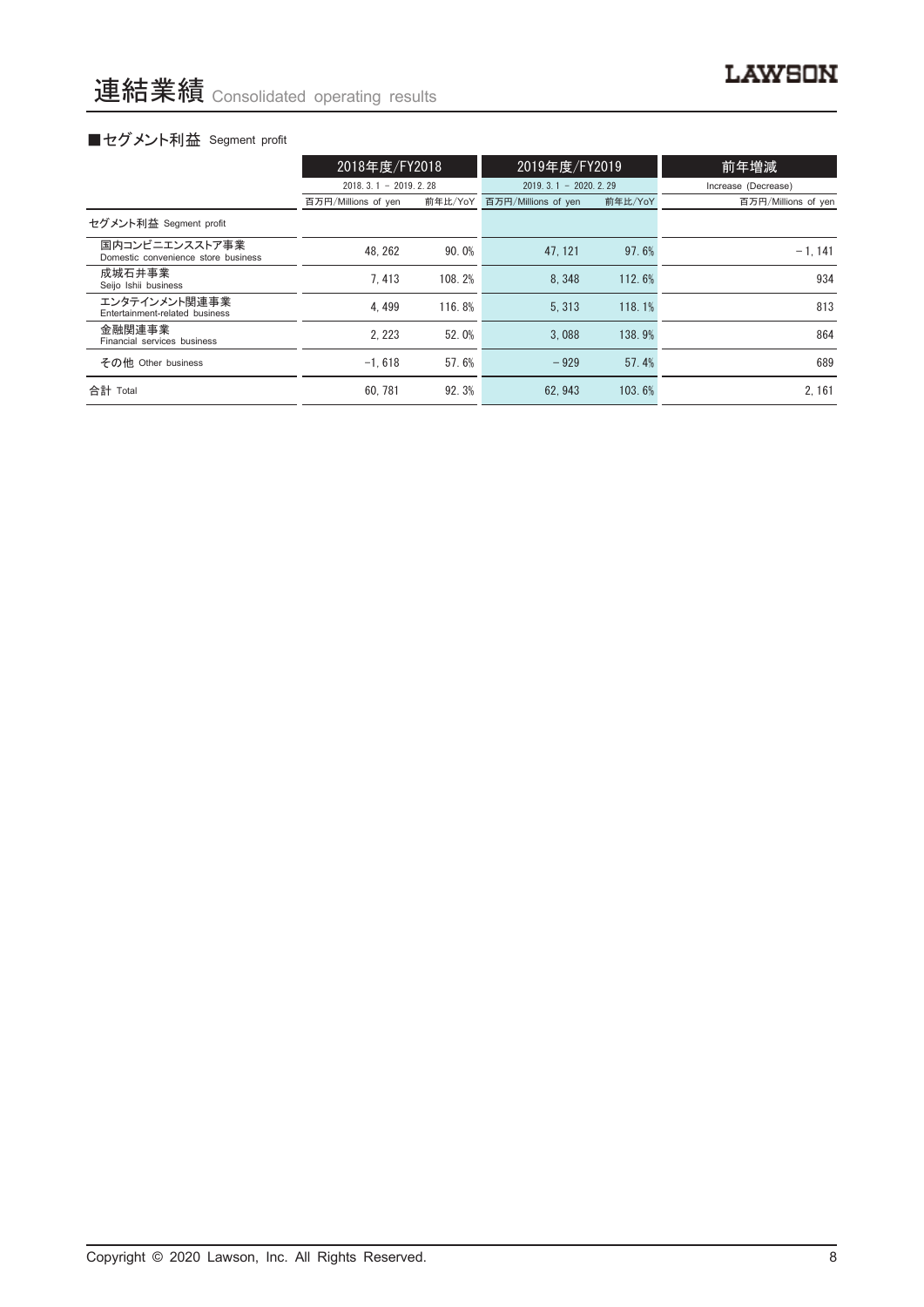# **LAWSON**

# ■セグメント利益 Segment profit

|                                                       | 2018年度/FY2018          |         | 2019年度/FY2019          |         | 前年増減                |  |
|-------------------------------------------------------|------------------------|---------|------------------------|---------|---------------------|--|
|                                                       | $2018.3.1 - 2019.2.28$ |         | $2019.3.1 - 2020.2.29$ |         | Increase (Decrease) |  |
|                                                       | 百万円/Millions of yen    | 前年比/YoY | 百万円/Millions of yen    | 前年比/YoY | 百万円/Millions of yen |  |
| セグメント利益 Segment profit                                |                        |         |                        |         |                     |  |
| 国内コンビニエンスストア事業<br>Domestic convenience store business | 48.262                 | 90.0%   | 47.121                 | 97.6%   | $-1, 141$           |  |
| 成城石井事業<br>Seijo Ishii business                        | 7.413                  | 108.2%  | 8.348                  | 112.6%  | 934                 |  |
| エンタテインメント関連事業<br>Entertainment-related business       | 4.499                  | 116.8%  | 5.313                  | 118.1%  | 813                 |  |
| 金融関連事業<br>Financial services business                 | 2.223                  | 52.0%   | 3.088                  | 138.9%  | 864                 |  |
| その他 Other business                                    | $-1.618$               | 57.6%   | $-929$                 | 57.4%   | 689                 |  |
| 合計 Total                                              | 60.781                 | 92.3%   | 62.943                 | 103.6%  | 2.161               |  |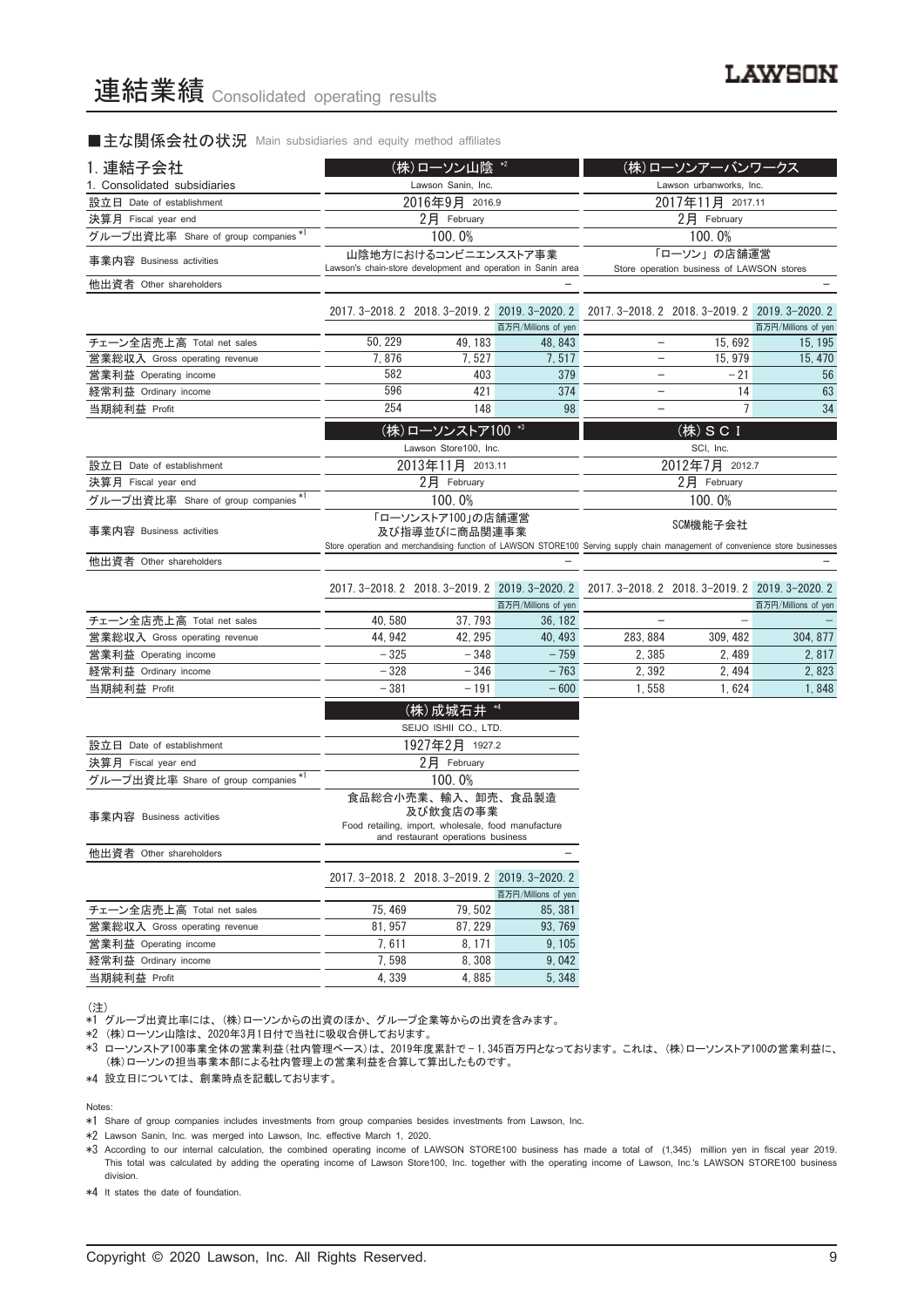■主な関係会社の状況 Main subsidiaries and equity method affiliates

| 1. 連結子会社                             |                                                                                                                             | (株)ローソン山陰 *2                                    |                                                                        |                                                                                                                                           | (株)ローソンアーバンワークス                                          |                     |
|--------------------------------------|-----------------------------------------------------------------------------------------------------------------------------|-------------------------------------------------|------------------------------------------------------------------------|-------------------------------------------------------------------------------------------------------------------------------------------|----------------------------------------------------------|---------------------|
| 1. Consolidated subsidiaries         |                                                                                                                             | Lawson Sanin, Inc.                              |                                                                        |                                                                                                                                           | Lawson urbanworks, Inc.                                  |                     |
| 設立日 Date of establishment            |                                                                                                                             | 2016年9月 2016.9                                  |                                                                        |                                                                                                                                           | 2017年11月 2017.11                                         |                     |
| 決算月 Fiscal year end                  |                                                                                                                             | 2月 February                                     |                                                                        |                                                                                                                                           | 2月 February                                              |                     |
| グループ出資比率 Share of group companies *1 |                                                                                                                             | 100.0%                                          |                                                                        |                                                                                                                                           | 100.0%                                                   |                     |
| 事業内容 Business activities             |                                                                                                                             | 山陰地方におけるコンビニエンスストア事業                            | Lawson's chain-store development and operation in Sanin area           |                                                                                                                                           | 「ローソン」の店舗運営<br>Store operation business of LAWSON stores |                     |
| 他出資者 Other shareholders              |                                                                                                                             |                                                 |                                                                        |                                                                                                                                           |                                                          |                     |
|                                      |                                                                                                                             | 2017. 3-2018. 2 2018. 3-2019. 2 2019. 3-2020. 2 |                                                                        |                                                                                                                                           | 2017. 3-2018. 2 2018. 3-2019. 2 2019. 3-2020. 2          |                     |
| チェーン全店売上高 Total net sales            | 50, 229                                                                                                                     | 49, 183                                         | 百万円/Millions of yen<br>48, 843                                         | $\qquad \qquad -$                                                                                                                         | 15,692                                                   | 百万円/Millions of yen |
| 営業総収入 Gross operating revenue        | 7,876                                                                                                                       | 7,527                                           | 7,517                                                                  | $\qquad \qquad -$                                                                                                                         | 15, 979                                                  | 15, 195<br>15, 470  |
| 営業利益 Operating income                | 582                                                                                                                         | 403                                             | 379                                                                    |                                                                                                                                           | $-21$                                                    | 56                  |
| 経常利益 Ordinary income                 | 596                                                                                                                         | 421                                             | 374                                                                    |                                                                                                                                           | 14                                                       | 63                  |
| 当期純利益 Profit                         | 254                                                                                                                         | 148                                             | 98                                                                     | $\overline{\phantom{a}}$                                                                                                                  | 7                                                        | 34                  |
|                                      |                                                                                                                             |                                                 |                                                                        |                                                                                                                                           |                                                          |                     |
|                                      |                                                                                                                             | (株)ローソンストア100 *3                                |                                                                        |                                                                                                                                           | (株) S C I                                                |                     |
|                                      |                                                                                                                             | Lawson Store100, Inc.                           |                                                                        |                                                                                                                                           | SCI, Inc.                                                |                     |
| 設立日 Date of establishment            |                                                                                                                             | 2013年11月 2013.11<br>2月 February                 |                                                                        |                                                                                                                                           | 2012年7月 2012.7                                           |                     |
| 決算月 Fiscal year end                  |                                                                                                                             |                                                 |                                                                        |                                                                                                                                           | 2月 February                                              |                     |
| グループ出資比率 Share of group companies *1 |                                                                                                                             | 100.0%                                          |                                                                        | 100.0%                                                                                                                                    |                                                          |                     |
| 事業内容 Business activities             |                                                                                                                             | 「ローソンストア100」の店舗運営<br>及び指導並びに商品関連事業              |                                                                        | SCM機能子会社<br>Store operation and merchandising function of LAWSON STORE100 Serving supply chain management of convenience store businesses |                                                          |                     |
| 他出資者 Other shareholders              |                                                                                                                             |                                                 |                                                                        |                                                                                                                                           |                                                          |                     |
|                                      |                                                                                                                             |                                                 |                                                                        |                                                                                                                                           |                                                          |                     |
|                                      |                                                                                                                             |                                                 | 2017. 3-2018. 2 2018. 3-2019. 2 2019. 3-2020. 2<br>百万円/Millions of yen |                                                                                                                                           | 2017. 3-2018. 2 2018. 3-2019. 2 2019. 3-2020. 2          | 百万円/Millions of yen |
| チェーン全店売上高 Total net sales            | 40,580                                                                                                                      | 37, 793                                         | 36, 182                                                                |                                                                                                                                           |                                                          |                     |
| 営業総収入 Gross operating revenue        | 44, 942                                                                                                                     | 42, 295                                         | 40, 493                                                                | 283, 884                                                                                                                                  | 309, 482                                                 | 304, 877            |
| 営業利益 Operating income                | $-325$                                                                                                                      | $-348$                                          | $-759$                                                                 | 2,385                                                                                                                                     | 2, 489                                                   | 2, 817              |
| 経常利益 Ordinary income                 | $-328$                                                                                                                      | $-346$                                          | $-763$                                                                 | 2,392                                                                                                                                     | 2, 494                                                   | 2,823               |
| 当期純利益 Profit                         | $-381$                                                                                                                      | $-191$                                          | $-600$                                                                 | 1,558                                                                                                                                     | 1,624                                                    | 1,848               |
|                                      |                                                                                                                             | (株) 成城石井 *4                                     |                                                                        |                                                                                                                                           |                                                          |                     |
|                                      |                                                                                                                             | SEIJO ISHII CO., LTD.                           |                                                                        |                                                                                                                                           |                                                          |                     |
| 設立日 Date of establishment            |                                                                                                                             | 1927年2月 1927.2                                  |                                                                        |                                                                                                                                           |                                                          |                     |
| 決算月 Fiscal year end                  |                                                                                                                             | 2月 February                                     |                                                                        |                                                                                                                                           |                                                          |                     |
| グループ出資比率 Share of group companies *1 |                                                                                                                             | 100.0%                                          |                                                                        |                                                                                                                                           |                                                          |                     |
| 事業内容 Business activities             | 食品総合小売業、輸入、卸売、食品製造<br>及び飲食店の事業<br>Food retailing, import, wholesale, food manufacture<br>and restaurant operations business |                                                 |                                                                        |                                                                                                                                           |                                                          |                     |
| 他出資者 Other shareholders              |                                                                                                                             |                                                 |                                                                        |                                                                                                                                           |                                                          |                     |
|                                      |                                                                                                                             | 2017. 3-2018. 2 2018. 3-2019. 2 2019. 3-2020. 2 |                                                                        |                                                                                                                                           |                                                          |                     |
|                                      |                                                                                                                             |                                                 | 百万円/Millions of yen                                                    |                                                                                                                                           |                                                          |                     |
| チェーン全店売上高 Total net sales            | 75, 469                                                                                                                     | 79,502                                          | 85, 381                                                                |                                                                                                                                           |                                                          |                     |
| 営業総収入 Gross operating revenue        | 81, 957                                                                                                                     | 87, 229                                         | 93, 769                                                                |                                                                                                                                           |                                                          |                     |
| 営業利益 Operating income                | 7,611                                                                                                                       | 8, 171                                          | 9, 105                                                                 |                                                                                                                                           |                                                          |                     |
| 経常利益 Ordinary income                 | 7,598                                                                                                                       | 8,308                                           | 9,042                                                                  |                                                                                                                                           |                                                          |                     |
| 当期純利益 Profit                         | 4,339                                                                                                                       | 4,885                                           | 5, 348                                                                 |                                                                                                                                           |                                                          |                     |

(注)

\*1 グループ出資比率には、 (株)ローソンからの出資のほか、 グループ企業等からの出資を含みます。

\*2 (株)ローソン山陰は、 2020年3月1日付で当社に吸収合併しております。

\*3 ローソンストア100事業全体の営業利益(社内管理ベース)は、 2019年度累計で — 1,345百万円となっております。 これは、 (株)ローソンストア100の営業利益に、 (株)ローソンの担当事業本部による社内管理上の営業利益を合算して算出したものです。

\*4 設立日については、 創業時点を記載しております。

Notes:

\*1 Share of group companies includes investments from group companies besides investments from Lawson, Inc.

\*2 Lawson Sanin, Inc. was merged into Lawson, Inc. effective March 1, 2020.

\*3 According to our internal calculation, the combined operating income of LAWSON STORE100 business has made a total of (1,345) million yen in fiscal year 2019. This total was calculated by adding the operating income of Lawson Store100, Inc. together with the operating income of Lawson, Inc.'s LAWSON STORE100 business division.

\*4 It states the date of foundation.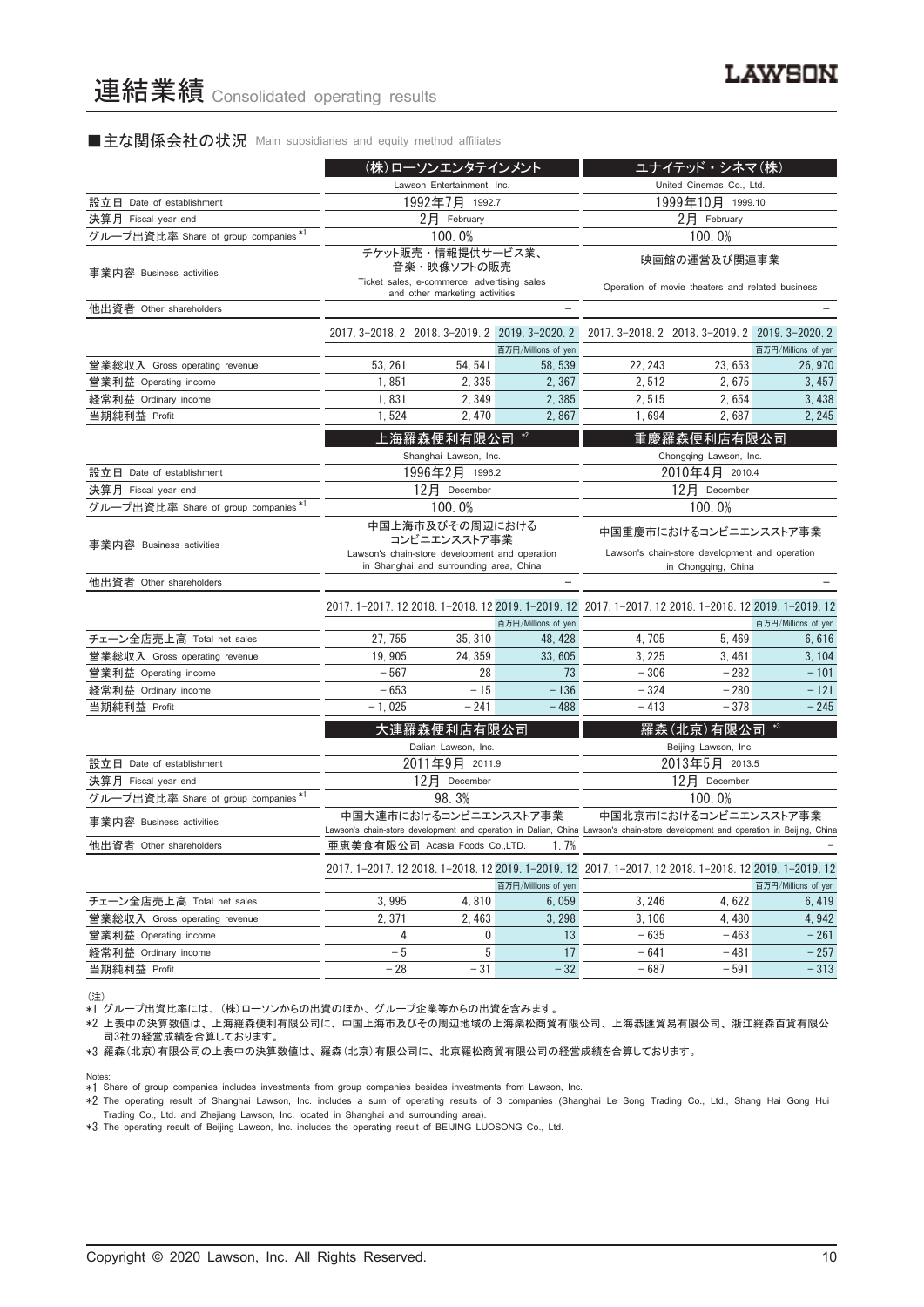#### ■主な関係会社の状況 Main subsidiaries and equity method affiliates

|                                      | (株)ローソンエンタテインメント           |                                                                                                                              |                     | ユナイテッド・シネマ(株)                                                                                                                    |                                                 |                     |
|--------------------------------------|----------------------------|------------------------------------------------------------------------------------------------------------------------------|---------------------|----------------------------------------------------------------------------------------------------------------------------------|-------------------------------------------------|---------------------|
|                                      | Lawson Entertainment, Inc. |                                                                                                                              |                     | United Cinemas Co., Ltd.                                                                                                         |                                                 |                     |
| 設立日 Date of establishment            |                            | 1992年7月 1992.7                                                                                                               |                     | 1999年10月 1999.10                                                                                                                 |                                                 |                     |
| 決算月 Fiscal year end                  |                            | 2月 February                                                                                                                  |                     | $2$ 月 February                                                                                                                   |                                                 |                     |
| グループ出資比率 Share of group companies *1 |                            | 100.0%                                                                                                                       |                     |                                                                                                                                  | 100.0%                                          |                     |
| 事業内容 Business activities             |                            | チケット販売・情報提供サービス業、<br>音楽・映像ソフトの販売<br>Ticket sales, e-commerce, advertising sales<br>and other marketing activities            |                     | 映画館の運営及び関連事業<br>Operation of movie theaters and related business                                                                 |                                                 |                     |
| 他出資者 Other shareholders              |                            |                                                                                                                              |                     |                                                                                                                                  |                                                 |                     |
|                                      |                            | 2017. 3-2018. 2 2018. 3-2019. 2 2019. 3-2020. 2                                                                              | 百万円/Millions of yen |                                                                                                                                  | 2017. 3-2018. 2 2018. 3-2019. 2 2019. 3-2020. 2 | 百万円/Millions of yen |
| 営業総収入 Gross operating revenue        | 53, 261                    | 54, 541                                                                                                                      | 58, 539             | 22, 243                                                                                                                          | 23,653                                          | 26, 970             |
| 営業利益 Operating income                | 1,851                      | 2,335                                                                                                                        | 2,367               | 2,512                                                                                                                            | 2,675                                           | 3,457               |
| 経常利益 Ordinary income                 | 1,831                      | 2,349                                                                                                                        | 2,385               | 2,515                                                                                                                            | 2,654                                           | 3,438               |
| 当期純利益 Profit                         | 1,524                      | 2, 470                                                                                                                       | 2,867               | 1,694                                                                                                                            | 2,687                                           | 2, 245              |
|                                      |                            | 上海羅森便利有限公司<br>Shanghai Lawson, Inc.                                                                                          | $*2$                |                                                                                                                                  | 重慶羅森便利店有限公司<br>Chongqing Lawson, Inc.           |                     |
| 設立日 Date of establishment            |                            | 1996年2月 1996.2                                                                                                               |                     |                                                                                                                                  | 2010年4月 2010.4                                  |                     |
| 決算月 Fiscal year end                  |                            | 12月 December                                                                                                                 |                     | 12月 December                                                                                                                     |                                                 |                     |
| グループ出資比率 Share of group companies *1 |                            | 100.0%                                                                                                                       |                     | 100.0%                                                                                                                           |                                                 |                     |
| 事業内容 Business activities             |                            | 中国上海市及びその周辺における<br>コンビニエンスストア事業<br>Lawson's chain-store development and operation<br>in Shanghai and surrounding area, China |                     | 中国重慶市におけるコンビニエンスストア事業<br>Lawson's chain-store development and operation                                                          |                                                 |                     |
| 他出資者 Other shareholders              |                            |                                                                                                                              |                     |                                                                                                                                  | in Chongqing, China                             |                     |
|                                      |                            |                                                                                                                              | 百万円/Millions of yen | 2017. 1-2017. 12 2018. 1-2018. 12 2019. 1-2019. 12 2017. 1-2017. 12 2018. 1-2018. 12 2019. 1-2019. 12                            |                                                 | 百万円/Millions of yen |
| チェーン全店売上高 Total net sales            | 27, 755                    | 35, 310                                                                                                                      | 48, 428             | 4,705                                                                                                                            | 5,469                                           | 6,616               |
| 営業総収入 Gross operating revenue        | 19, 905                    | 24, 359                                                                                                                      | 33,605              | 3, 225                                                                                                                           | 3, 461                                          | 3, 104              |
| 営業利益 Operating income                | $-567$                     | 28                                                                                                                           | 73                  | $-306$                                                                                                                           | $-282$                                          | $-101$              |
| 経常利益 Ordinary income                 | $-653$                     | $-15$                                                                                                                        | $-136$              | $-324$                                                                                                                           | $-280$                                          | $-121$              |
| 当期純利益 Profit                         | $-1,025$                   | $-241$                                                                                                                       | $-488$              | $-413$                                                                                                                           | $-378$                                          | $-245$              |
|                                      |                            | 大連羅森便利店有限公司                                                                                                                  |                     |                                                                                                                                  | 羅森(北京)有限公司                                      | $*3$                |
| 設立日 Date of establishment            |                            | Dalian Lawson, Inc.<br>2011年9月 2011.9                                                                                        |                     |                                                                                                                                  | Beijing Lawson, Inc.<br>2013年5月 2013.5          |                     |
| 決算月 Fiscal year end                  |                            | 12月 December                                                                                                                 |                     |                                                                                                                                  | 12月 December                                    |                     |
| グループ出資比率 Share of group companies *1 |                            | 98.3%                                                                                                                        |                     |                                                                                                                                  | 100.0%                                          |                     |
| 事業内容 Business activities             |                            | 中国大連市におけるコンビニエンスストア事業                                                                                                        |                     | Lawson's chain-store development and operation in Dalian, China Lawson's chain-store development and operation in Beijing, China | 中国北京市におけるコンビニエンスストア事業                           |                     |
| 他出資者 Other shareholders              |                            | 亜恵美食有限公司 Acasia Foods Co.,LTD.                                                                                               | 1.7%                |                                                                                                                                  |                                                 |                     |
|                                      |                            |                                                                                                                              | 百万円/Millions of yen | 2017. 1-2017. 12 2018. 1-2018. 12 2019. 1-2019. 12 2017. 1-2017. 12 2018. 1-2018. 12 2019. 1-2019. 12                            |                                                 | 百万円/Millions of yen |
| チェーン全店売上高 Total net sales            | 3,995                      | 4,810                                                                                                                        | 6,059               | 3, 246                                                                                                                           | 4,622                                           | 6,419               |
| 営業総収入 Gross operating revenue        | 2,371                      | 2,463                                                                                                                        | 3, 298              | 3, 106                                                                                                                           | 4,480                                           | 4, 942              |
| 営業利益 Operating income                | 4                          | 0                                                                                                                            | 13                  | $-635$                                                                                                                           | $-463$                                          | $-261$              |
| 経常利益 Ordinary income                 | $-5$                       | 5                                                                                                                            | 17                  | $-641$                                                                                                                           | - 481                                           | $-257$              |
| 当期純利益 Profit                         | $-28$                      | $-31$                                                                                                                        | $-32$               | $-687$                                                                                                                           | - 591                                           | $-313$              |

(注) \*1 グループ出資比率には、 (株)ローソンからの出資のほか、 グループ企業等からの出資を含みます。

\*2 上表中の決算数値は、 上海羅森便利有限公司に、 中国上海市及びその周辺地域の上海楽松商貿有限公司、 上海恭匯貿易有限公司、 浙江羅森百貨有限公 司3社の経営成績を合算しております。

\*3 羅森(北京)有限公司の上表中の決算数値は、 羅森(北京)有限公司に、 北京羅松商貿有限公司の経営成績を合算しております。

Notes:

\*1 Share of group companies includes investments from group companies besides investments from Lawson, Inc.

\*2 The operating result of Shanghai Lawson, Inc. includes a sum of operating results of 3 companies (Shanghai Le Song Trading Co., Ltd., Shang Hai Gong Hui Trading Co., Ltd. and Zhejiang Lawson, Inc. located in Shanghai and surrounding area).

\*3 The operating result of Beijing Lawson, Inc. includes the operating result of BEIJING LUOSONG Co., Ltd.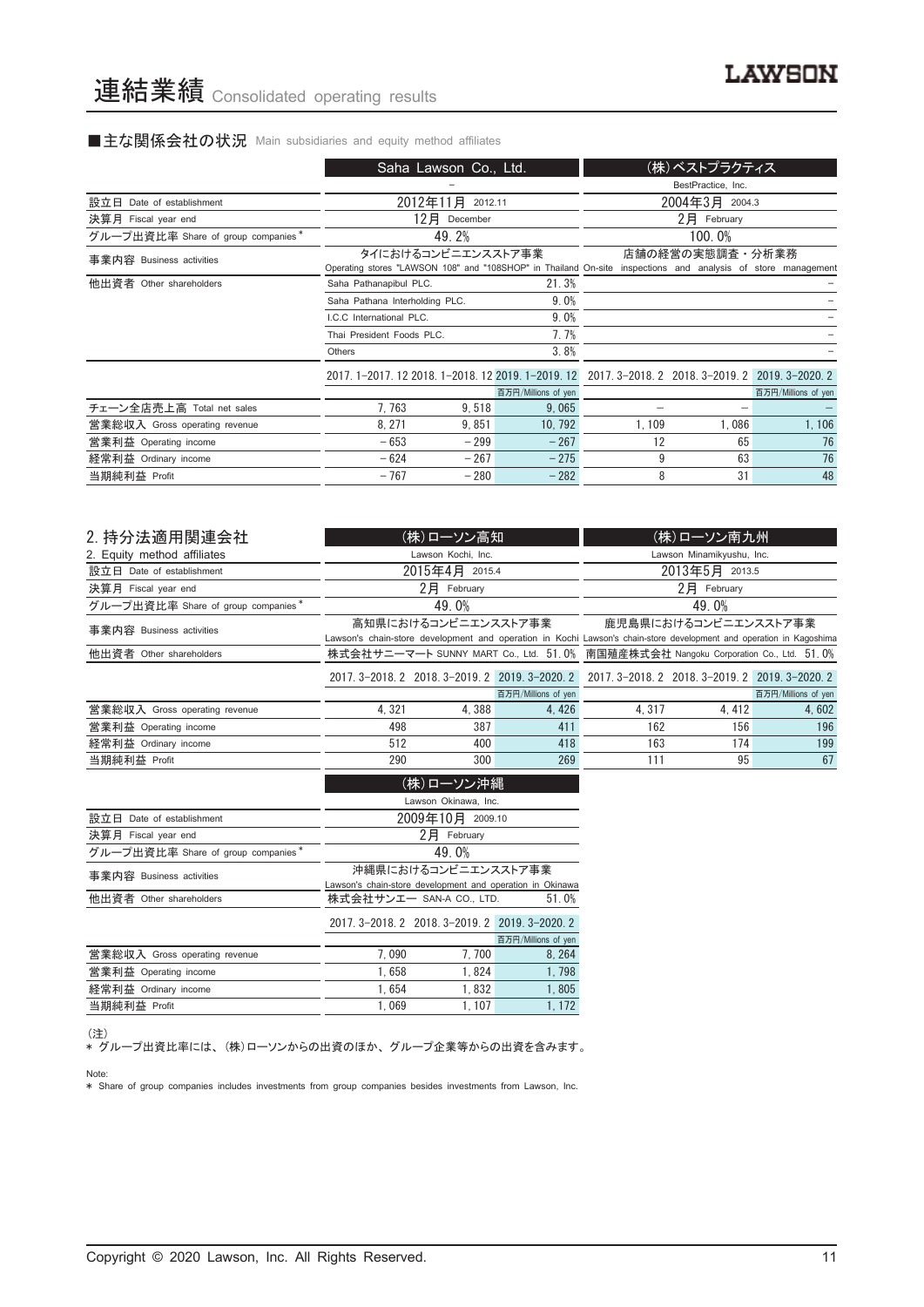# ■主な関係会社の状況 Main subsidiaries and equity method affiliates

|                                    | Saha Lawson Co., Ltd.                                                                                                              |                  |                     |       | (株)ベストプラクティス                |                     |
|------------------------------------|------------------------------------------------------------------------------------------------------------------------------------|------------------|---------------------|-------|-----------------------------|---------------------|
|                                    |                                                                                                                                    |                  |                     |       | BestPractice, Inc.          |                     |
| 設立日 Date of establishment          |                                                                                                                                    | 2012年11月 2012.11 |                     |       | 2004年3月 2004.3              |                     |
| 決算月 Fiscal year end                | 12月                                                                                                                                | December         |                     |       | $2$ $\overline{P}$ February |                     |
| グループ出資比率 Share of group companies* |                                                                                                                                    | 49.2%            |                     |       | 100.0%                      |                     |
| 事業内容 Business activities           | タイにおけるコンビニエンスストア事業<br>Operating stores "LAWSON 108" and "108SHOP" in Thailand On-site inspections and analysis of store management |                  |                     |       | 店舗の経営の実態調査・分析業務             |                     |
| 他出資者 Other shareholders            | Saha Pathanapibul PLC.                                                                                                             |                  | 21.3%               |       |                             |                     |
|                                    | Saha Pathana Interholding PLC.                                                                                                     |                  | 9.0%                |       |                             |                     |
|                                    | LC.C. International PLC.                                                                                                           |                  | 9.0%                |       |                             |                     |
|                                    | Thai President Foods PLC.                                                                                                          |                  | 7.7%                |       |                             |                     |
|                                    | Others                                                                                                                             |                  | 3.8%                |       |                             |                     |
|                                    | 2017, 1-2017, 12 2018, 1-2018, 12 2019, 1-2019, 12 2017, 3-2018, 2 2018, 3-2019, 2 2019, 3-2020, 2                                 |                  |                     |       |                             |                     |
|                                    |                                                                                                                                    |                  | 百万円/Millions of yen |       |                             | 百万円/Millions of yen |
| チェーン全店売上高 Total net sales          | 7.763                                                                                                                              | 9,518            | 9,065               |       |                             |                     |
| 営業総収入 Gross operating revenue      | 8.271                                                                                                                              | 9.851            | 10, 792             | 1.109 | 1.086                       | 1,106               |
| 営業利益 Operating income              | $-653$                                                                                                                             | $-299$           | $-267$              | 12    | 65                          | 76                  |
| 経常利益 Ordinary income               | $-624$                                                                                                                             | $-267$           | $-275$              | 9     | 63                          | 76                  |
| 当期純利益 Profit                       | $-767$                                                                                                                             | $-280$           | $-282$              | 8     | 31                          | 48                  |
|                                    |                                                                                                                                    |                  |                     |       |                             |                     |

| 2. 持分法適用関連会社                       |       | (株)ローソン高知           |                     |                                                                                                                     | (株)ローソン南九州           |                     |
|------------------------------------|-------|---------------------|---------------------|---------------------------------------------------------------------------------------------------------------------|----------------------|---------------------|
| 2. Equity method affiliates        |       | Lawson Kochi, Inc.  |                     | Lawson Minamikyushu, Inc.                                                                                           |                      |                     |
| 設立日 Date of establishment          |       | 2015年4月 2015.4      |                     | 2013年5月 2013.5                                                                                                      |                      |                     |
| 決算月 Fiscal year end                |       | $2$ $H$ February    |                     |                                                                                                                     | $2$ 月 February       |                     |
| グループ出資比率 Share of group companies* |       | 49.0%               |                     |                                                                                                                     | 49.0%                |                     |
| 事業内容 Business activities           |       | 高知県におけるコンビニエンスストア事業 |                     | Lawson's chain-store development and operation in Kochi Lawson's chain-store development and operation in Kagoshima | 鹿児島県におけるコンビニエンスストア事業 |                     |
| 他出資者 Other shareholders            |       |                     |                     | 株式会社サニーマート SUNNY MART Co., Ltd. 51.0% 南国殖産株式会社 Nangoku Corporation Co., Ltd. 51.0%                                  |                      |                     |
|                                    |       |                     |                     | 2017. 3-2018. 2 2018. 3-2019. 2 2019. 3-2020. 2 2017. 3-2018. 2 2018. 3-2019. 2 2019. 3-2020. 2                     |                      |                     |
|                                    |       |                     | 百万円/Millions of yen |                                                                                                                     |                      | 百万円/Millions of yen |
| 営業総収入 Gross operating revenue      | 4,321 | 4,388               | 4,426               | 4, 317                                                                                                              | 4, 412               | 4,602               |
| 営業利益 Operating income              | 498   | 387                 | 411                 | 162                                                                                                                 | 156                  | 196                 |
| 経常利益 Ordinary income               | 512   | 400                 | 418                 | 163                                                                                                                 | 174                  | 199                 |
| 当期純利益 Profit                       | 290   | 300                 | 269                 | 111                                                                                                                 | 95                   | 67                  |
| (株)ローソン沖縄<br>Lawson Okinawa Inc    |       |                     |                     |                                                                                                                     |                      |                     |

|                                    | Lawson Okinawa, Inc.                                                             |                                                 |                     |  |  |
|------------------------------------|----------------------------------------------------------------------------------|-------------------------------------------------|---------------------|--|--|
| 設立日 Date of establishment          |                                                                                  | 2009年10月 2009.10                                |                     |  |  |
| 決算月 Fiscal year end                |                                                                                  | 2日 February                                     |                     |  |  |
| グループ出資比率 Share of group companies* |                                                                                  | 49.0%                                           |                     |  |  |
| 事業内容 Business activities           | 沖縄県におけるコンビニエンスストア事業<br>Lawson's chain-store development and operation in Okinawa |                                                 |                     |  |  |
| 他出資者 Other shareholders            | 株式会社サンエー SAN-A CO., LTD.<br>51.0%                                                |                                                 |                     |  |  |
|                                    |                                                                                  | 2017. 3-2018. 2 2018. 3-2019. 2 2019. 3-2020. 2 |                     |  |  |
|                                    |                                                                                  |                                                 | 百万円/Millions of yen |  |  |
| 営業総収入 Gross operating revenue      | 7.090                                                                            | 7.700                                           | 8.264               |  |  |
| 営業利益 Operating income              | 1.658                                                                            | 1.824                                           | 1.798               |  |  |
| 経常利益 Ordinary income               | 1.654                                                                            | 1.832                                           | 1.805               |  |  |
| 当期純利益 Profit                       | 1.069                                                                            | 1.107                                           | 1.172               |  |  |
|                                    |                                                                                  |                                                 |                     |  |  |

(注)

\* グループ出資比率には、 (株)ローソンからの出資のほか、 グループ企業等からの出資を含みます。 Note:

\* Share of group companies includes investments from group companies besides investments from Lawson, Inc.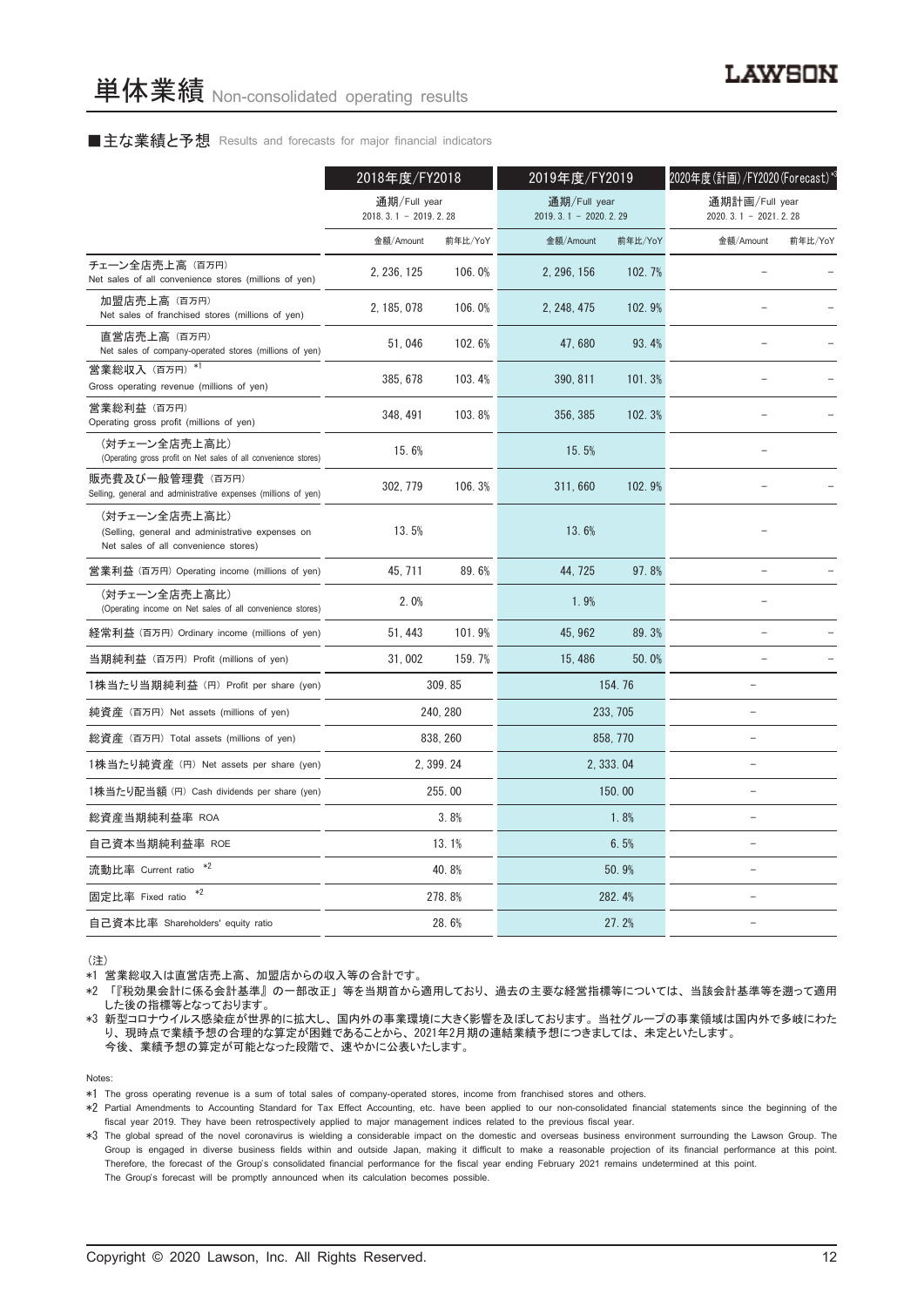#### ■主な業績と予想 Results and forecasts for major financial indicators

|                                                                                                           | 2018年度/FY2018                            |            | 2019年度/FY2019                            |            | 2020年度(計画)/FY2020(Forecast)*3              |         |  |
|-----------------------------------------------------------------------------------------------------------|------------------------------------------|------------|------------------------------------------|------------|--------------------------------------------|---------|--|
|                                                                                                           | 通期/Full year<br>2018. 3. 1 - 2019. 2. 28 |            | 通期/Full year<br>2019. 3. 1 - 2020. 2. 29 |            | 通期計画/Full year<br>2020. 3. 1 - 2021. 2. 28 |         |  |
|                                                                                                           | 金額/Amount                                | 前年比/YoY    | 金額/Amount                                | 前年比/YoY    | 金額/Amount                                  | 前年比/YoY |  |
| チェーン全店売上高(百万円)<br>Net sales of all convenience stores (millions of yen)                                   | 2, 236, 125                              | 106.0%     | 2.296.156                                | 102.7%     |                                            |         |  |
| 加盟店売上高 (百万円)<br>Net sales of franchised stores (millions of yen)                                          | 2, 185, 078                              | 106.0%     | 2, 248, 475                              | 102.9%     |                                            |         |  |
| 直営店売上高 (百万円)<br>Net sales of company-operated stores (millions of yen)                                    | 51,046                                   | 102.6%     | 47,680                                   | 93.4%      |                                            |         |  |
| 営業総収入(百万円)*1<br>Gross operating revenue (millions of yen)                                                 | 385, 678                                 | 103.4%     | 390, 811                                 | 101.3%     |                                            |         |  |
| 営業総利益 (百万円)<br>Operating gross profit (millions of yen)                                                   | 348.491                                  | 103.8%     | 356.385                                  | 102.3%     |                                            |         |  |
| (対チェーン全店売上高比)<br>(Operating gross profit on Net sales of all convenience stores)                          | 15.6%                                    |            | 15.5%                                    |            |                                            |         |  |
| 販売費及び一般管理費 (百万円)<br>Selling, general and administrative expenses (millions of yen)                        | 302, 779                                 | 106.3%     | 311,660                                  | 102.9%     |                                            |         |  |
| (対チェーン全店売上高比)<br>(Selling, general and administrative expenses on<br>Net sales of all convenience stores) | 13.5%                                    |            | 13.6%                                    |            |                                            |         |  |
| 営業利益 (百万円) Operating income (millions of yen)                                                             | 45, 711                                  | 89.6%      | 44, 725                                  | 97.8%      | $\overline{a}$                             |         |  |
| (対チェーン全店売上高比)<br>(Operating income on Net sales of all convenience stores)                                | 2.0%                                     |            | 1.9%                                     |            |                                            |         |  |
| 経常利益 (百万円) Ordinary income (millions of yen)                                                              | 51, 443                                  | 101.9%     | 45, 962                                  | 89.3%      |                                            |         |  |
| 当期純利益 (百万円) Profit (millions of yen)                                                                      | 31,002                                   | 159.7%     | 15, 486                                  | 50.0%      |                                            |         |  |
| 1株当たり当期純利益 (円) Profit per share (yen)                                                                     |                                          | 309.85     |                                          | 154.76     |                                            |         |  |
| 純資産 (百万円) Net assets (millions of yen)                                                                    |                                          | 240, 280   |                                          | 233, 705   | $\overline{\phantom{0}}$                   |         |  |
| 総資産 (百万円) Total assets (millions of yen)                                                                  |                                          | 838, 260   |                                          | 858, 770   | $\equiv$                                   |         |  |
| 1株当たり純資産 (円) Net assets per share (yen)                                                                   |                                          | 2, 399, 24 |                                          | 2, 333, 04 | $\overline{\phantom{0}}$                   |         |  |
| 1株当たり配当額 (円) Cash dividends per share (yen)                                                               |                                          | 255.00     |                                          | 150.00     |                                            |         |  |
| 総資産当期純利益率 ROA                                                                                             |                                          | 3.8%       |                                          | 1.8%       | ÷.                                         |         |  |
| 自己資本当期純利益率 ROE                                                                                            |                                          | 13.1%      |                                          | 6.5%       | $\equiv$                                   |         |  |
| $*2$<br>流動比率 Current ratio                                                                                |                                          | 40.8%      |                                          | 50.9%      |                                            |         |  |
| $*2$<br>固定比率 Fixed ratio                                                                                  |                                          | 278.8%     |                                          | 282.4%     | $\overline{\phantom{0}}$                   |         |  |
| 自己資本比率 Shareholders' equity ratio                                                                         |                                          | 28.6%      |                                          | 27.2%      | $\equiv$                                   |         |  |

(注)

\*1 営業総収入は直営店売上高、 加盟店からの収入等の合計です。

\*2 「『税効果会計に係る会計基準』 の一部改正」 等を当期首から適用しており、 過去の主要な経営指標等については、 当該会計基準等を遡って適用 した後の指標等となっております。

\*3 新型コロナウイルス感染症が世界的に拡大し、 国内外の事業環境に大きく影響を及ぼしております。 当社グループの事業領域は国内外で多岐にわた り、 現時点で業績予想の合理的な算定が困難であることから、 2021年2月期の連結業績予想につきましては、 未定といたします。 今後、 業績予想の算定が可能となった段階で、 速やかに公表いたします。

Notes:

\*1 The gross operating revenue is a sum of total sales of company-operated stores, income from franchised stores and others.

\*2 Partial Amendments to Accounting Standard for Tax Effect Accounting, etc. have been applied to our non-consolidated financial statements since the beginning of the fiscal year 2019. They have been retrospectively applied to major management indices related to the previous fiscal year.

\*3 The global spread of the novel coronavirus is wielding a considerable impact on the domestic and overseas business environment surrounding the Lawson Group. The Group is engaged in diverse business fields within and outside Japan, making it difficult to make a reasonable projection of its financial performance at this point. Therefore, the forecast of the Group's consolidated financial performance for the fiscal year ending February 2021 remains undetermined at this point. The Group's forecast will be promptly announced when its calculation becomes possible.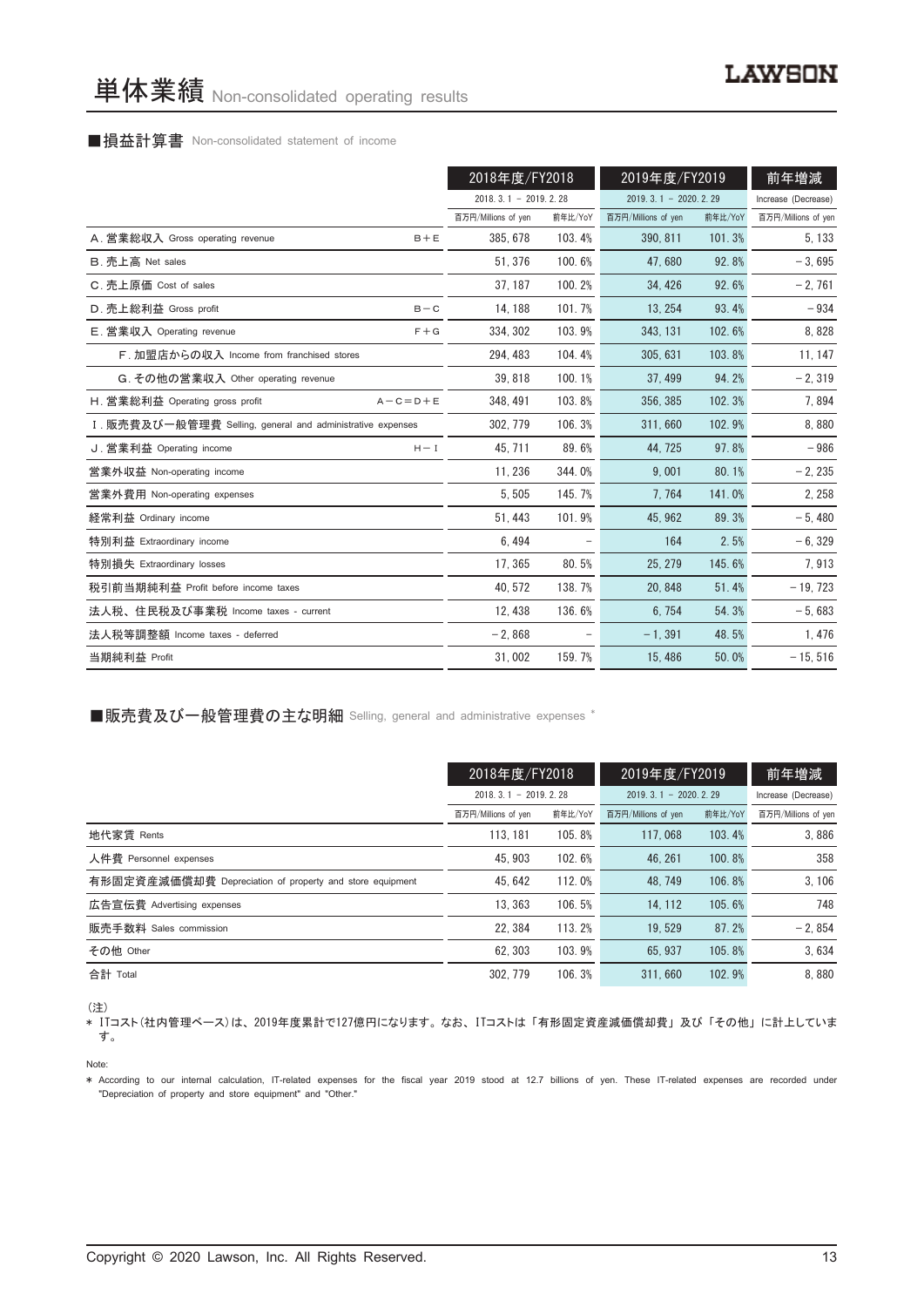#### ■損益計算書 Non-consolidated statement of income

|                                                            |                 | 2018年度/FY2018          |         | 2019年度/FY2019          |         | 前年増減                |
|------------------------------------------------------------|-----------------|------------------------|---------|------------------------|---------|---------------------|
|                                                            |                 | $2018.3.1 - 2019.2.28$ |         | $2019.3.1 - 2020.2.29$ |         | Increase (Decrease) |
|                                                            |                 | 百万円/Millions of yen    | 前年比/YoY | 百万円/Millions of yen    | 前年比/YoY | 百万円/Millions of yen |
| A. 営業総収入 Gross operating revenue                           | $B + E$         | 385, 678               | 103.4%  | 390, 811               | 101.3%  | 5, 133              |
| B. 売上高 Net sales                                           |                 | 51, 376                | 100.6%  | 47.680                 | 92.8%   | $-3,695$            |
| C. 売上原価 Cost of sales                                      |                 | 37.187                 | 100.2%  | 34.426                 | 92.6%   | $-2,761$            |
| D. 売上総利益 Gross profit                                      | $B - C$         | 14, 188                | 101.7%  | 13, 254                | 93.4%   | $-934$              |
| E. 営業収入 Operating revenue                                  | $F + G$         | 334, 302               | 103.9%  | 343, 131               | 102.6%  | 8,828               |
| F. 加盟店からの収入 Income from franchised stores                  |                 | 294, 483               | 104.4%  | 305, 631               | 103.8%  | 11, 147             |
| G. その他の営業収入 Other operating revenue                        |                 | 39, 818                | 100.1%  | 37, 499                | 94.2%   | $-2,319$            |
| H. 営業総利益 Operating gross profit                            | $A - C = D + E$ | 348, 491               | 103.8%  | 356, 385               | 102.3%  | 7,894               |
| I. 販売費及び一般管理費 Selling, general and administrative expenses |                 | 302.779                | 106.3%  | 311.660                | 102.9%  | 8,880               |
| J. 営業利益 Operating income                                   | $H - I$         | 45, 711                | 89.6%   | 44.725                 | 97.8%   | $-986$              |
| 営業外収益 Non-operating income                                 |                 | 11, 236                | 344.0%  | 9.001                  | 80.1%   | $-2, 235$           |
| 営業外費用 Non-operating expenses                               |                 | 5,505                  | 145.7%  | 7,764                  | 141.0%  | 2, 258              |
| 経常利益 Ordinary income                                       |                 | 51, 443                | 101.9%  | 45, 962                | 89.3%   | $-5,480$            |
| 特別利益 Extraordinary income                                  |                 | 6.494                  |         | 164                    | 2.5%    | $-6, 329$           |
| 特別損失 Extraordinary losses                                  |                 | 17, 365                | 80.5%   | 25, 279                | 145.6%  | 7,913               |
| 税引前当期純利益 Profit before income taxes                        |                 | 40, 572                | 138.7%  | 20, 848                | 51.4%   | $-19,723$           |
| 法人税、住民税及び事業税 Income taxes - current                        |                 | 12.438                 | 136.6%  | 6.754                  | 54.3%   | $-5.683$            |
| 法人税等調整額 Income taxes - deferred                            |                 | $-2,868$               |         | $-1, 391$              | 48.5%   | 1,476               |
| 当期純利益 Profit                                               |                 | 31,002                 | 159.7%  | 15, 486                | 50.0%   | $-15, 516$          |

■販売費及び一般管理費の主な明細 Selling, general and administrative expenses \*

|                                                          | 2018年度/FY2018          |         | 2019年度/FY2019          |         | 前年増減                |
|----------------------------------------------------------|------------------------|---------|------------------------|---------|---------------------|
|                                                          | $2018.3.1 - 2019.2.28$ |         | $2019.3.1 - 2020.2.29$ |         | Increase (Decrease) |
|                                                          | 百万円/Millions of yen    | 前年比/YoY | 百万円/Millions of yen    | 前年比/YoY | 百万円/Millions of yen |
| 地代家賃 Rents                                               | 113, 181               | 105.8%  | 117.068                | 103.4%  | 3,886               |
| 人件費 Personnel expenses                                   | 45.903                 | 102.6%  | 46.261                 | 100.8%  | 358                 |
| 有形固定資産減価償却費 Depreciation of property and store equipment | 45.642                 | 112.0%  | 48.749                 | 106.8%  | 3,106               |
| 広告宣伝費 Advertising expenses                               | 13.363                 | 106.5%  | 14.112                 | 105.6%  | 748                 |
| 販売手数料 Sales commission                                   | 22.384                 | 113.2%  | 19.529                 | 87.2%   | $-2.854$            |
| その他 Other                                                | 62.303                 | 103.9%  | 65.937                 | 105.8%  | 3.634               |
| 合計 Total                                                 | 302.779                | 106.3%  | 311.660                | 102.9%  | 8.880               |

(注)

\* ITコスト(社内管理ベース)は、 2019年度累計で127億円になります。 なお、 ITコストは 「有形固定資産減価償却費」 及び 「その他」 に計上していま す。

Note:

\* According to our internal calculation, IT-related expenses for the fiscal year 2019 stood at 12.7 billions of yen. These IT-related expenses are recorded under "Depreciation of property and store equipment" and "Other."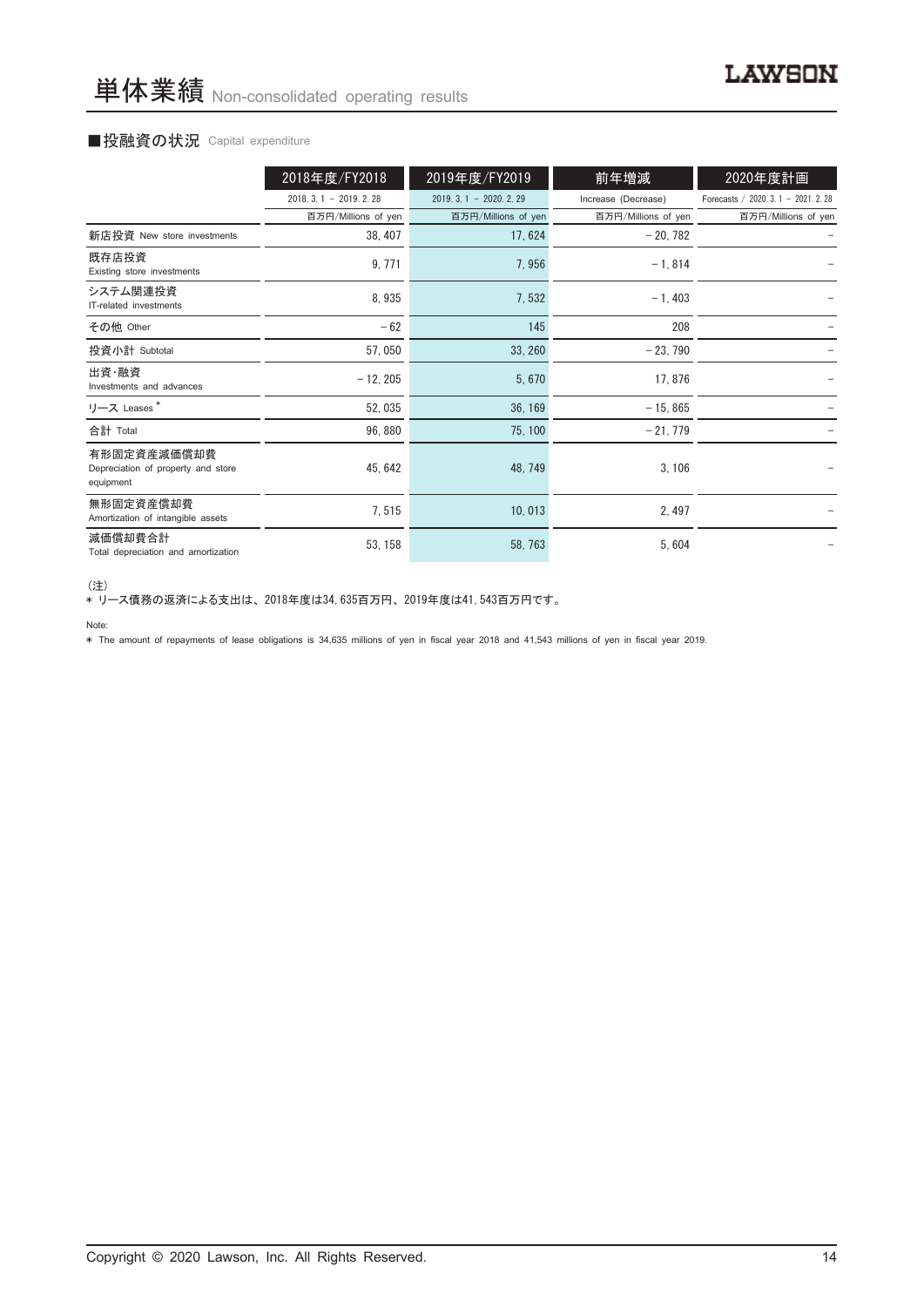#### ■投融資の状況 Capital expenditure

|                                                                | 2018年度/FY2018          | 2019年度/FY2019          | 前年増減                | 2020年度計画                             |
|----------------------------------------------------------------|------------------------|------------------------|---------------------|--------------------------------------|
|                                                                | $2018.3.1 - 2019.2.28$ | $2019.3.1 - 2020.2.29$ | Increase (Decrease) | Forecasts / 2020. 3. 1 - 2021. 2. 28 |
|                                                                | 百万円/Millions of yen    | 百万円/Millions of yen    | 百万円/Millions of yen | 百万円/Millions of yen                  |
| 新店投資 New store investments                                     | 38, 407                | 17, 624                | $-20,782$           |                                      |
| 既存店投資<br>Existing store investments                            | 9, 771                 | 7,956                  | $-1,814$            |                                      |
| システム関連投資<br>IT-related investments                             | 8,935                  | 7,532                  | $-1,403$            |                                      |
| その他 Other                                                      | $-62$                  | 145                    | 208                 |                                      |
| 投資小計 Subtotal                                                  | 57,050                 | 33, 260                | $-23,790$           |                                      |
| 出資・融資<br>Investments and advances                              | $-12, 205$             | 5,670                  | 17,876              |                                      |
| リース Leases <sup>*</sup>                                        | 52,035                 | 36, 169                | $-15, 865$          |                                      |
| 合計 Total                                                       | 96,880                 | 75, 100                | $-21,779$           |                                      |
| 有形固定資産減価償却費<br>Depreciation of property and store<br>equipment | 45, 642                | 48, 749                | 3,106               |                                      |
| 無形固定資産償却費<br>Amortization of intangible assets                 | 7,515                  | 10,013                 | 2,497               |                                      |
| 減価償却費合計<br>Total depreciation and amortization                 | 53, 158                | 58, 763                | 5,604               |                                      |

<sup>(</sup>注)

\* リース債務の返済による支出は、 2018年度は34,635百万円、 2019年度は41,543百万円です。

\* The amount of repayments of lease obligations is 34,635 millions of yen in fiscal year 2018 and 41,543 millions of yen in fiscal year 2019.

Note: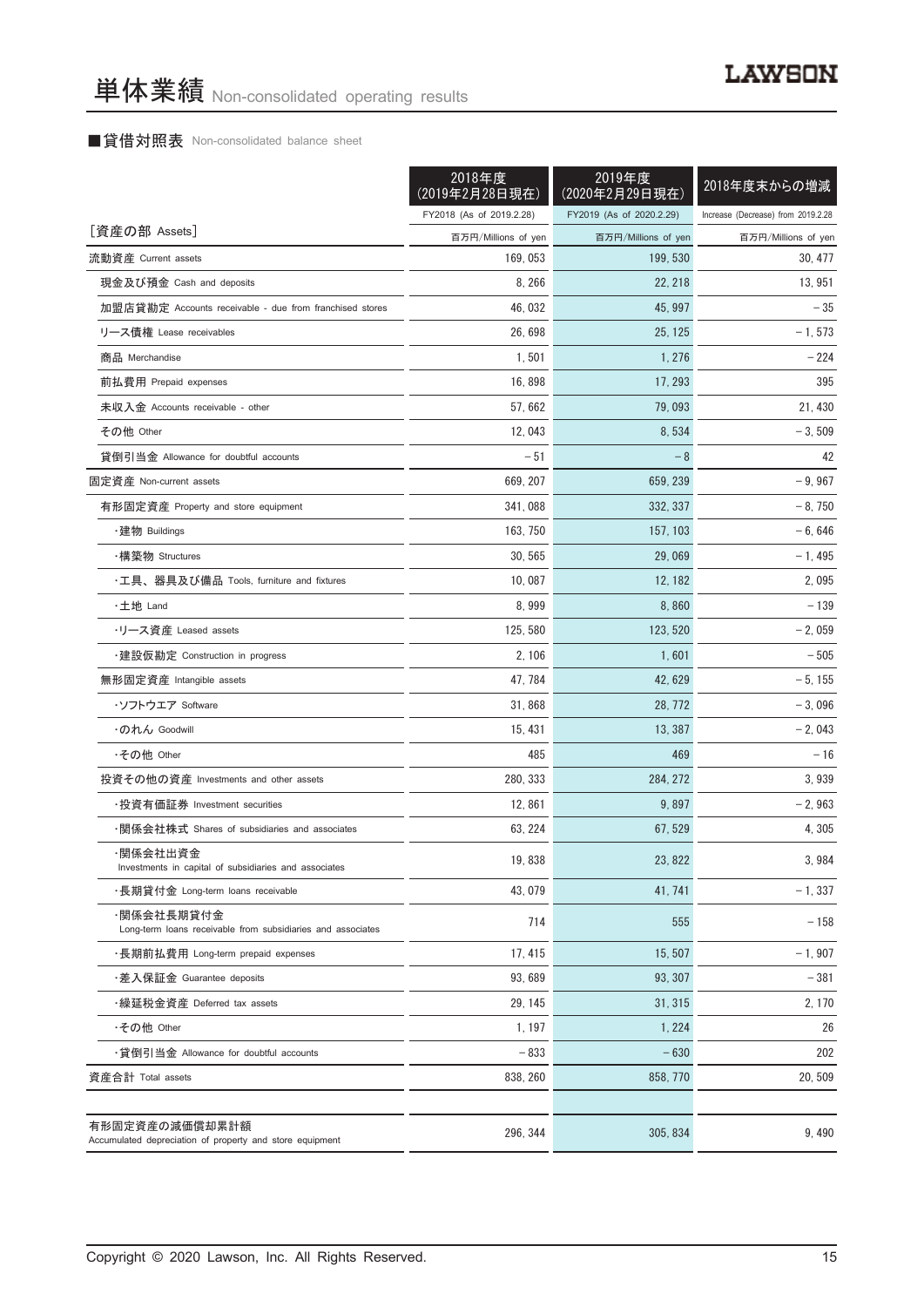# ■貸借対照表 Non-consolidated balance sheet

|                                                                            | 2018年度<br>(2019年2月28日現在) | 2019年度<br>(2020年2月29日現在) | 2018年度末からの増減                       |
|----------------------------------------------------------------------------|--------------------------|--------------------------|------------------------------------|
|                                                                            | FY2018 (As of 2019.2.28) | FY2019 (As of 2020.2.29) | Increase (Decrease) from 2019.2.28 |
| [資産の部 Assets]                                                              | 百万円/Millions of yen      | 百万円/Millions of yen      | 百万円/Millions of yen                |
| 流動資産 Current assets                                                        | 169, 053                 | 199, 530                 | 30, 477                            |
| 現金及び預金 Cash and deposits                                                   | 8, 266                   | 22, 218                  | 13, 951                            |
| 加盟店貸勘定 Accounts receivable - due from franchised stores                    | 46, 032                  | 45, 997                  | $-35$                              |
| リース債権 Lease receivables                                                    | 26, 698                  | 25, 125                  | $-1, 573$                          |
| 商品 Merchandise                                                             | 1,501                    | 1,276                    | $-224$                             |
| 前払費用 Prepaid expenses                                                      | 16,898                   | 17, 293                  | 395                                |
| 未収入金 Accounts receivable - other                                           | 57,662                   | 79,093                   | 21, 430                            |
| その他 Other                                                                  | 12,043                   | 8,534                    | $-3,509$                           |
| 貸倒引当金 Allowance for doubtful accounts                                      | $-51$                    | $-8$                     | 42                                 |
| 固定資産 Non-current assets                                                    | 669, 207                 | 659, 239                 | $-9,967$                           |
| 有形固定資産 Property and store equipment                                        | 341.088                  | 332, 337                 | $-8,750$                           |
| ・建物 Buildings                                                              | 163, 750                 | 157, 103                 | $-6,646$                           |
| ・構築物 Structures                                                            | 30, 565                  | 29,069                   | $-1,495$                           |
| ・工具、器具及び備品 Tools, furniture and fixtures                                   | 10,087                   | 12, 182                  | 2,095                              |
| ・土地 Land                                                                   | 8,999                    | 8,860                    | $-139$                             |
| ・リース資産 Leased assets                                                       | 125, 580                 | 123, 520                 | $-2,059$                           |
| ・建設仮勘定 Construction in progress                                            | 2, 106                   | 1,601                    | $-505$                             |
| 無形固定資産 Intangible assets                                                   | 47, 784                  | 42, 629                  | $-5, 155$                          |
| ・ソフトウエア Software                                                           | 31,868                   | 28, 772                  | $-3,096$                           |
| ・のれん Goodwill                                                              | 15, 431                  | 13, 387                  | $-2,043$                           |
| ・その他 Other                                                                 | 485                      | 469                      | $-16$                              |
| 投資その他の資産 Investments and other assets                                      | 280, 333                 | 284, 272                 | 3,939                              |
| ・投資有価証券 Investment securities                                              | 12,861                   | 9,897                    | $-2,963$                           |
| ・関係会社株式 Shares of subsidiaries and associates                              | 63, 224                  | 67, 529                  | 4, 305                             |
| ·関係会社出資金<br>Investments in capital of subsidiaries and associates          | 19,838                   | 23, 822                  | 3,984                              |
| ・長期貸付金 Long-term loans receivable                                          | 43, 079                  | 41, 741                  | $-1,337$                           |
| ·関係会社長期貸付金<br>Long-term loans receivable from subsidiaries and associates  | 714                      | 555                      | $-158$                             |
| ・長期前払費用 Long-term prepaid expenses                                         | 17, 415                  | 15, 507                  | $-1,907$                           |
| ・差入保証金 Guarantee deposits                                                  | 93,689                   | 93.307                   | $-381$                             |
| ・繰延税金資産 Deferred tax assets                                                | 29, 145                  | 31, 315                  | 2, 170                             |
| ·その他 Other                                                                 | 1, 197                   | 1, 224                   | 26                                 |
| ・貸倒引当金 Allowance for doubtful accounts                                     | $-833$                   | $-630$                   | 202                                |
| 資産合計 Total assets                                                          | 838, 260                 | 858, 770                 | 20,509                             |
| 有形固定資産の減価償却累計額<br>Accumulated depreciation of property and store equipment | 296, 344                 | 305, 834                 | 9,490                              |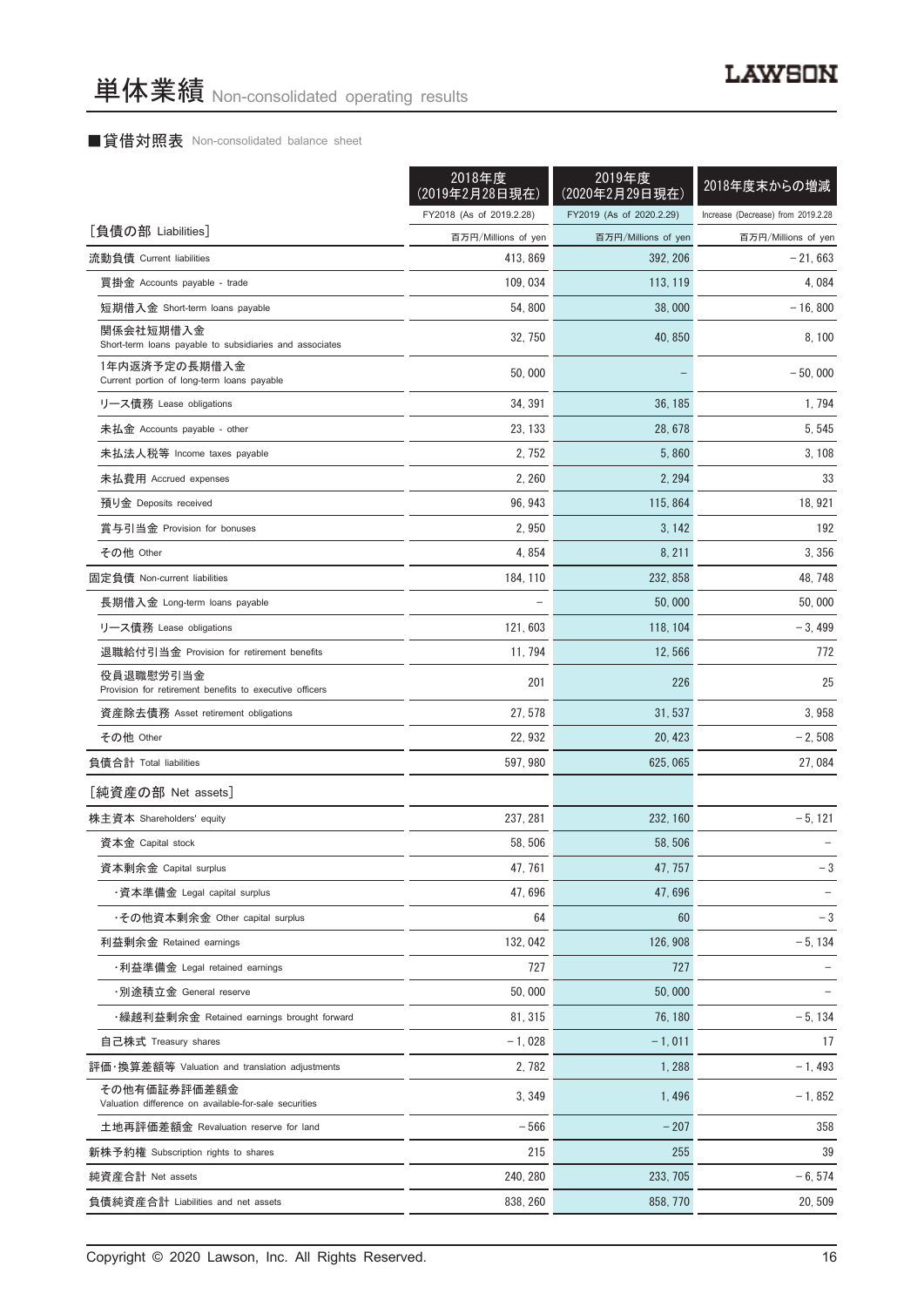# ■貸借対照表 Non-consolidated balance sheet

| FY2018 (As of 2019.2.28)<br>FY2019 (As of 2020.2.29)<br>Increase (Decrease) from 2019.2.28<br>[負債の部 Liabilities]<br>百万円/Millions of yen<br>百万円/Millions of yen |          |          |                     |
|----------------------------------------------------------------------------------------------------------------------------------------------------------------|----------|----------|---------------------|
|                                                                                                                                                                |          |          |                     |
|                                                                                                                                                                |          |          | 百万円/Millions of yen |
| 流動負債 Current liabilities                                                                                                                                       | 413, 869 | 392, 206 | $-21,663$           |
| 買掛金 Accounts payable - trade<br>109, 034<br>113, 119                                                                                                           |          |          | 4,084               |
| 短期借入金 Short-term loans payable<br>54,800<br>38,000                                                                                                             |          |          | $-16, 800$          |
| 関係会社短期借入金<br>32, 750<br>40, 850<br>Short-term loans payable to subsidiaries and associates                                                                     |          |          | 8, 100              |
| 1年内返済予定の長期借入金<br>50,000<br>Current portion of long-term loans payable                                                                                          |          |          | $-50.000$           |
| 34, 391<br>リース債務 Lease obligations<br>36, 185                                                                                                                  |          |          | 1,794               |
| 未払金 Accounts payable - other<br>23, 133<br>28, 678                                                                                                             |          |          | 5, 545              |
| 未払法人税等 Income taxes payable<br>2, 752<br>5,860                                                                                                                 |          |          | 3, 108              |
| 2, 260<br>2, 294<br>未払費用 Accrued expenses                                                                                                                      |          |          | 33                  |
| 96, 943<br>115, 864<br>預り金 Deposits received                                                                                                                   |          |          | 18, 921             |
| 賞与引当金 Provision for bonuses<br>2,950<br>3, 142                                                                                                                 |          |          | 192                 |
| 4,854<br>その他 Other<br>8, 211                                                                                                                                   |          |          | 3,356               |
| 184, 110<br>232, 858<br>固定負債 Non-current liabilities                                                                                                           |          |          | 48, 748             |
| 長期借入金 Long-term loans payable<br>50,000                                                                                                                        |          |          | 50,000              |
| 121,603<br>リース債務 Lease obligations<br>118, 104                                                                                                                 |          |          | $-3,499$            |
| 退職給付引当金 Provision for retirement benefits<br>11, 794<br>12,566                                                                                                 |          |          | 772                 |
| 役員退職慰労引当金                                                                                                                                                      |          |          |                     |
| 201<br>226<br>Provision for retirement benefits to executive officers                                                                                          |          |          | 25                  |
| 27, 578<br>資産除去債務 Asset retirement obligations<br>31, 537                                                                                                      |          |          | 3,958               |
| 22, 932<br>その他 Other<br>20, 423                                                                                                                                |          |          | $-2,508$            |
| 597, 980<br>負債合計 Total liabilities<br>625, 065                                                                                                                 |          |          | 27,084              |
| [純資産の部 Net assets]                                                                                                                                             |          |          |                     |
| 237, 281<br>株主資本 Shareholders' equity<br>232, 160                                                                                                              |          |          | $-5, 121$           |
| 資本金 Capital stock<br>58, 506<br>58, 506                                                                                                                        |          |          |                     |
| 47, 761<br>47, 757<br>資本剰余金 Capital surplus                                                                                                                    |          |          | $-3$                |
| ・資本準備金 Legal capital surplus<br>47,696<br>47,696                                                                                                               |          |          |                     |
| ・その他資本剰余金 Other capital surplus<br>64<br>60                                                                                                                    |          |          | $-3$                |
| 132, 042<br>126, 908<br>利益剰余金 Retained earnings                                                                                                                |          |          | $-5, 134$           |
| ・利益準備金 Legal retained earnings<br>727<br>727                                                                                                                   |          |          |                     |
| ·別途積立金 General reserve<br>50,000<br>50,000                                                                                                                     |          |          |                     |
| 81, 315<br>・繰越利益剰余金 Retained earnings brought forward<br>76.180                                                                                                |          |          | $-5, 134$           |
| $-1,028$<br>$-1,011$<br>自己株式 Treasury shares                                                                                                                   |          |          | 17                  |
| 評価・換算差額等 Valuation and translation adjustments<br>2,782<br>1,288                                                                                               |          |          | $-1,493$            |
| その他有価証券評価差額金<br>3,349<br>1,496<br>Valuation difference on available-for-sale securities                                                                        |          |          | $-1,852$            |
| $-566$<br>$-207$<br>土地再評価差額金 Revaluation reserve for land                                                                                                      |          |          | 358                 |
| 215<br>255<br>新株予約権 Subscription rights to shares                                                                                                              |          |          | 39                  |
| 240, 280<br>233, 705<br>純資産合計 Net assets                                                                                                                       |          |          | $-6, 574$           |
| 負債純資産合計 Liabilities and net assets<br>838, 260<br>858, 770                                                                                                     |          |          | 20, 509             |

Copyright © 2020 Lawson, Inc. All Rights Reserved. 16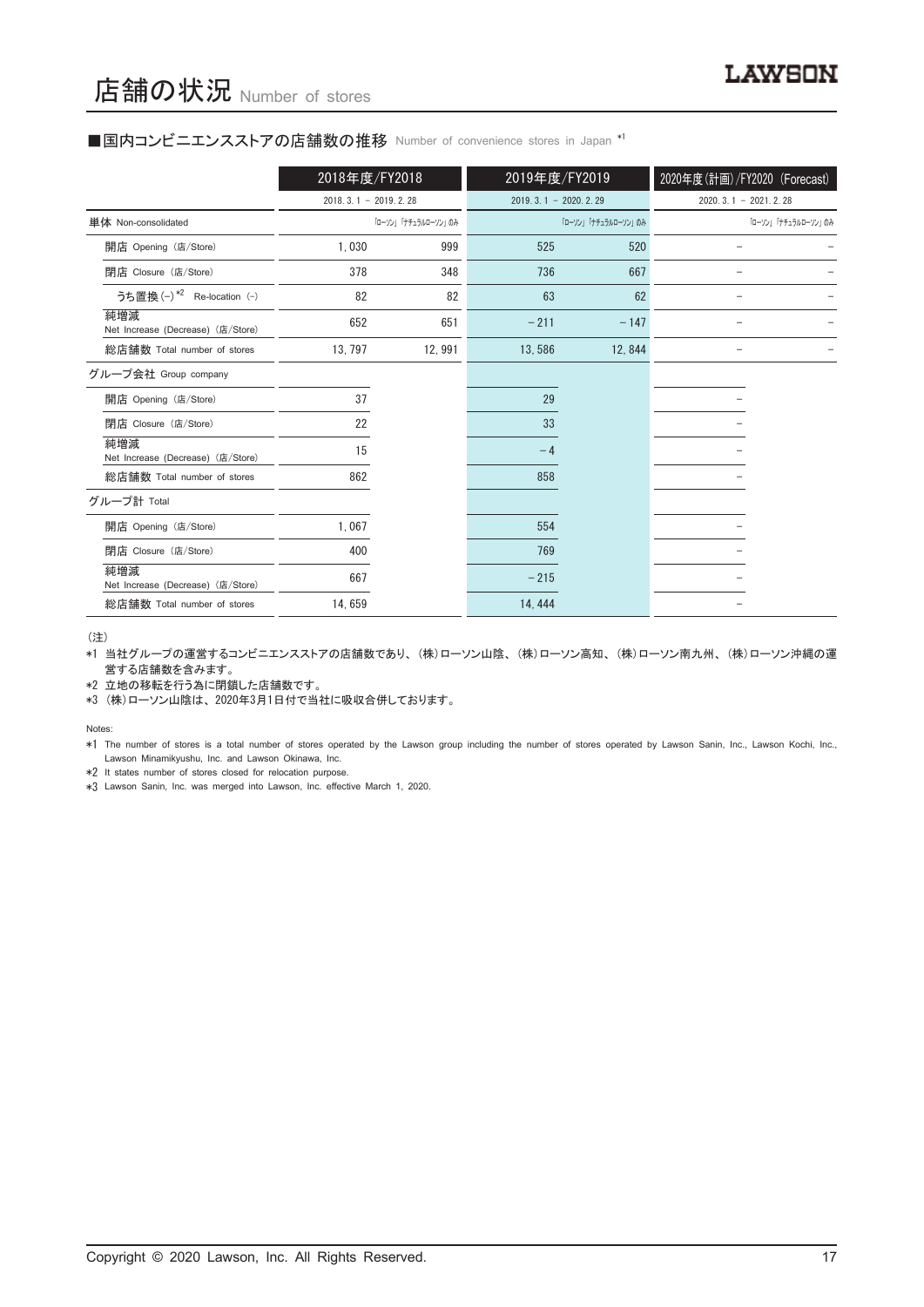#### ■国内コンビニエンスストアの店舗数の推移 Number of convenience stores in Japan \*1

|                                          | 2018年度/FY2018          |                     | 2019年度/FY2019          |                     | 2020年度(計画)/FY2020 (Forecast) |
|------------------------------------------|------------------------|---------------------|------------------------|---------------------|------------------------------|
|                                          | $2018.3.1 - 2019.2.28$ |                     | $2019.3.1 - 2020.2.29$ |                     | $2020.3.1 - 2021.2.28$       |
| 単体 Non-consolidated                      |                        | 「ローソン」「ナチュラルローソン」のみ |                        | 「ローソン」「ナチュラルローソン」のみ | 「ローソン」「ナチュラルローソン」のみ          |
| 開店 Opening (店/Store)                     | 1,030                  | 999                 | 525                    | 520                 |                              |
| 閉店 Closure (店/Store)                     | 378                    | 348                 | 736                    | 667                 |                              |
| うち置換 (-) *2 Re-location (-)              | 82                     | 82                  | 63                     | 62                  |                              |
| 純増減<br>Net Increase (Decrease) (店/Store) | 652                    | 651                 | $-211$                 | $-147$              |                              |
| 総店舗数 Total number of stores              | 13, 797                | 12, 991             | 13,586                 | 12,844              |                              |
| グループ会社 Group company                     |                        |                     |                        |                     |                              |
| 開店 Opening (店/Store)                     | 37                     |                     | 29                     |                     |                              |
| 閉店 Closure (店/Store)                     | 22                     |                     | 33                     |                     |                              |
| 純増減<br>Net Increase (Decrease) (店/Store) | 15                     |                     | $-4$                   |                     |                              |
| 総店舗数 Total number of stores              | 862                    |                     | 858                    |                     |                              |
| グループ計 Total                              |                        |                     |                        |                     |                              |
| 開店 Opening (店/Store)                     | 1,067                  |                     | 554                    |                     |                              |
| 閉店 Closure (店/Store)                     | 400                    |                     | 769                    |                     |                              |
| 純増減<br>Net Increase (Decrease) (店/Store) | 667                    |                     | $-215$                 |                     |                              |
| 総店舗数 Total number of stores              | 14,659                 |                     | 14, 444                |                     |                              |

(注)

\*1 当社グループの運営するコンビニエンスストアの店舗数であり、 (株)ローソン山陰、 (株)ローソン高知、 (株)ローソン南九州、 (株)ローソン沖縄の運 営する店舗数を含みます。

\*2 立地の移転を行う為に閉鎖した店舗数です。

\*3 (株)ローソン山陰は、 2020年3月1日付で当社に吸収合併しております。

Notes:

\*1 The number of stores is a total number of stores operated by the Lawson group including the number of stores operated by Lawson Sanin, Inc., Lawson Kochi, Inc., Lawson Minamikyushu, Inc. and Lawson Okinawa, Inc.

\*2 It states number of stores closed for relocation purpose.

\*3 Lawson Sanin, Inc. was merged into Lawson, Inc. effective March 1, 2020.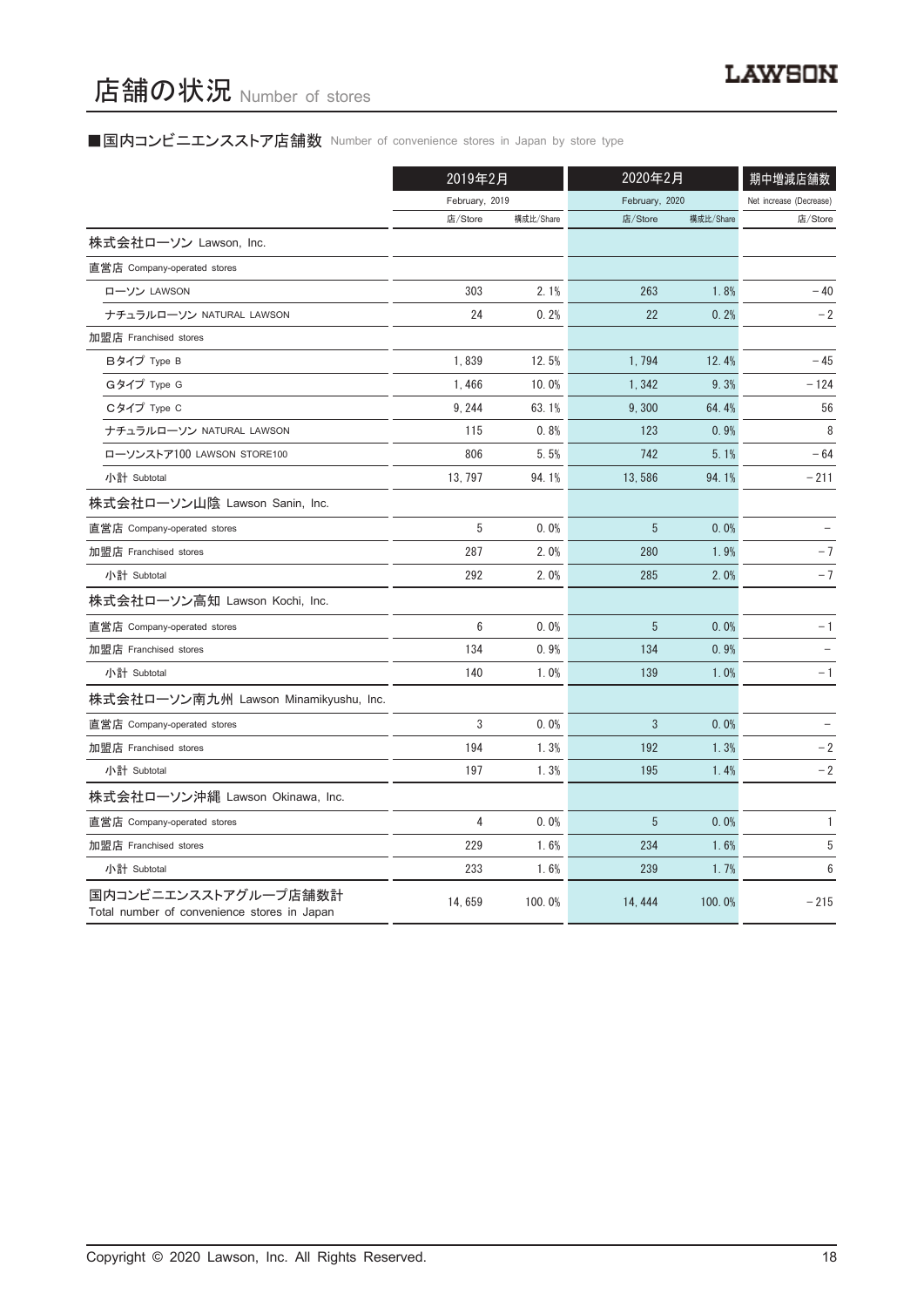# ■国内コンビニエンスストア店舗数 Number of convenience stores in Japan by store type

|                                                                     | 2019年2月        |           | 2020年2月        | 期中増減店舗数   |                         |
|---------------------------------------------------------------------|----------------|-----------|----------------|-----------|-------------------------|
|                                                                     | February, 2019 |           | February, 2020 |           | Net increase (Decrease) |
|                                                                     | 店/Store        | 構成比/Share | 店/Store        | 構成比/Share | 店/Store                 |
| 株式会社ローソン Lawson, Inc.                                               |                |           |                |           |                         |
| 直営店 Company-operated stores                                         |                |           |                |           |                         |
| ローソン LAWSON                                                         | 303            | 2.1%      | 263            | 1.8%      | $-40$                   |
| ナチュラルローソン NATURAL LAWSON                                            | 24             | 0.2%      | 22             | 0.2%      | $-2$                    |
| 加盟店 Franchised stores                                               |                |           |                |           |                         |
| Bタイプ Type B                                                         | 1,839          | 12.5%     | 1,794          | 12.4%     | $-45$                   |
| Gタイプ Type G                                                         | 1,466          | 10.0%     | 1,342          | 9.3%      | $-124$                  |
| Cタイプ Type C                                                         | 9, 244         | 63.1%     | 9,300          | 64.4%     | 56                      |
| ナチュラルローソン NATURAL LAWSON                                            | 115            | 0.8%      | 123            | 0.9%      | 8                       |
| ローソンストア100 LAWSON STORE100                                          | 806            | 5.5%      | 742            | 5.1%      | $-64$                   |
| 小計 Subtotal                                                         | 13, 797        | 94.1%     | 13,586         | 94.1%     | $-211$                  |
| 株式会社ローソン山陰 Lawson Sanin, Inc.                                       |                |           |                |           |                         |
| 直営店 Company-operated stores                                         | 5              | 0.0%      | 5              | 0.0%      |                         |
| 加盟店 Franchised stores                                               | 287            | 2.0%      | 280            | 1.9%      | $-7$                    |
| 小計 Subtotal                                                         | 292            | 2.0%      | 285            | 2.0%      | $-7$                    |
| 株式会社ローソン高知 Lawson Kochi, Inc.                                       |                |           |                |           |                         |
| 直営店 Company-operated stores                                         | 6              | 0.0%      | 5              | 0.0%      | - 1                     |
| 加盟店 Franchised stores                                               | 134            | 0.9%      | 134            | 0.9%      |                         |
| 小計 Subtotal                                                         | 140            | 1.0%      | 139            | 1.0%      | - 1                     |
| 株式会社ローソン南九州 Lawson Minamikyushu, Inc.                               |                |           |                |           |                         |
| 直営店 Company-operated stores                                         | 3              | 0.0%      | 3              | 0.0%      |                         |
| 加盟店 Franchised stores                                               | 194            | 1.3%      | 192            | 1.3%      | $-2$                    |
| 小計 Subtotal                                                         | 197            | 1.3%      | 195            | 1.4%      | $-2$                    |
| 株式会社ローソン沖縄 Lawson Okinawa, Inc.                                     |                |           |                |           |                         |
| 直営店 Company-operated stores                                         | 4              | 0.0%      | 5              | 0.0%      | $\mathbf{1}$            |
| 加盟店 Franchised stores                                               | 229            | 1.6%      | 234            | 1.6%      | $\sqrt{5}$              |
| 小計 Subtotal                                                         | 233            | 1.6%      | 239            | 1.7%      | 6                       |
| 国内コンビニエンスストアグループ店舗数計<br>Total number of convenience stores in Japan | 14,659         | 100.0%    | 14, 444        | 100.0%    | $-215$                  |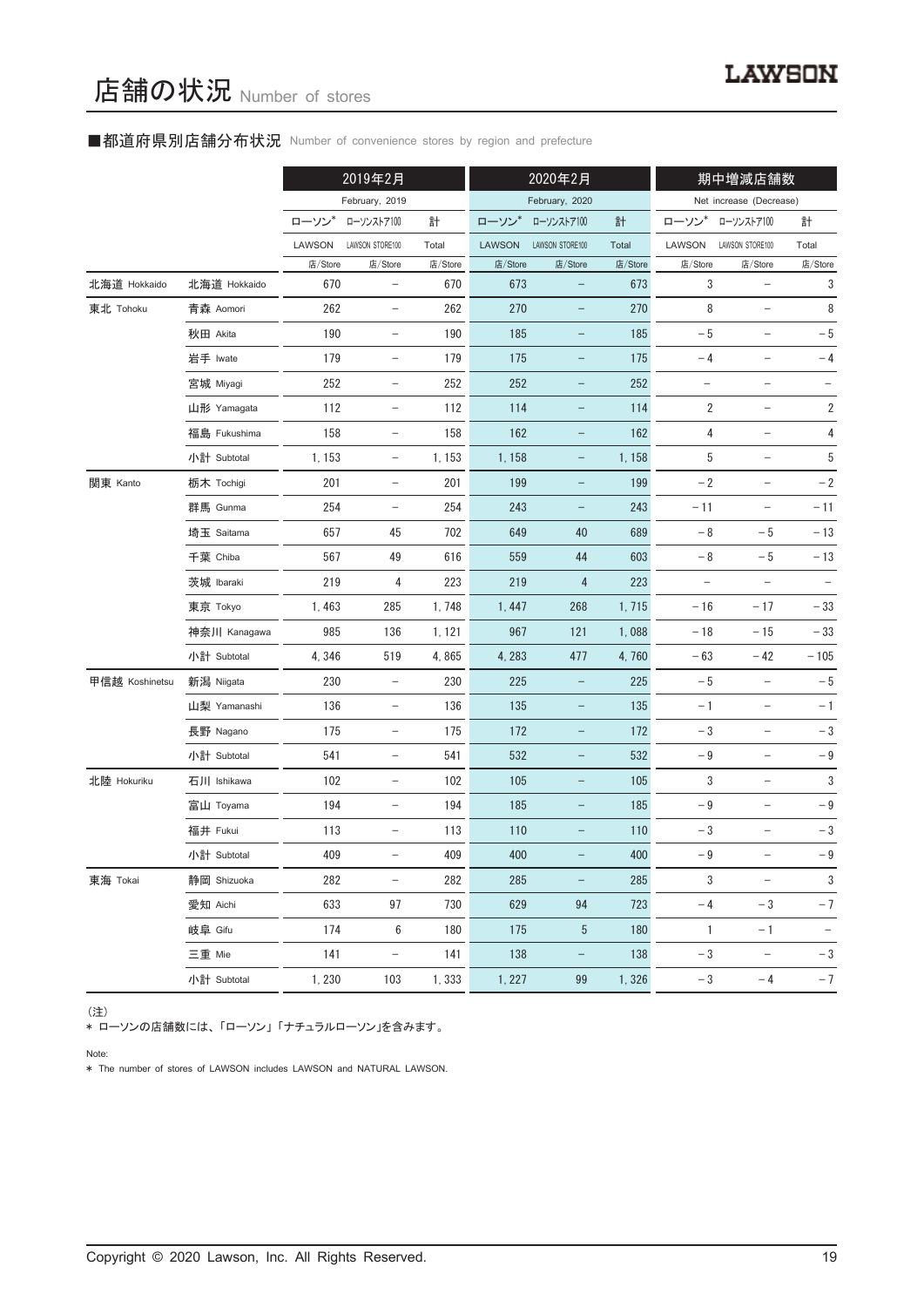# ■都道府県別店舗分布状況 Number of convenience stores by region and prefecture

|                |              | 2019年2月 |                          | 2020年2月 |         |                   | 期中増減店舗数 |                   |                          |                          |
|----------------|--------------|---------|--------------------------|---------|---------|-------------------|---------|-------------------|--------------------------|--------------------------|
|                |              |         | February, 2019           |         |         | February, 2020    |         |                   | Net increase (Decrease)  |                          |
|                |              | ローソン    | ローソンストア100               | 計       | ローソン    | ローソンストア100        | 計       | ローソン              | ローソンストア100               | 計                        |
|                |              | LAWSON  | LAWSON STORE100          | Total   | LAWSON  | LAWSON STORE100   | Total   | LAWSON            | LAWSON STORE100          | Total                    |
|                |              | 店/Store | 店/Store                  | 店/Store | 店/Store | 店/Store           | 店/Store | 店/Store           | 店/Store                  | 店/Store                  |
| 北海道 Hokkaido   | 北海道 Hokkaido | 670     | $\qquad \qquad -$        | 670     | 673     |                   | 673     | 3                 | $\qquad \qquad -$        | 3                        |
| 東北 Tohoku      | 青森 Aomori    | 262     | $\qquad \qquad -$        | 262     | 270     | $\qquad \qquad -$ | 270     | 8                 | $\overline{\phantom{0}}$ | 8                        |
|                | 秋田 Akita     | 190     | $\overline{\phantom{a}}$ | 190     | 185     | -                 | 185     | $-5$              | $\overline{\phantom{a}}$ | $-5$                     |
|                | 岩手 Iwate     | 179     |                          | 179     | 175     |                   | 175     | $-4$              |                          | $-4$                     |
|                | 宮城 Miyagi    | 252     | $\overline{\phantom{a}}$ | 252     | 252     | -                 | 252     | $\qquad \qquad -$ | $\qquad \qquad -$        |                          |
|                | 山形 Yamagata  | 112     | $\overline{\phantom{a}}$ | 112     | 114     | $\qquad \qquad -$ | 114     | $\overline{2}$    | $\overline{\phantom{a}}$ | 2                        |
|                | 福島 Fukushima | 158     | $\qquad \qquad -$        | 158     | 162     |                   | 162     | 4                 |                          | 4                        |
|                | 小計 Subtotal  | 1, 153  | $\overline{\phantom{a}}$ | 1, 153  | 1, 158  | -                 | 1,158   | 5                 | $\overline{\phantom{0}}$ | 5                        |
| 関東 Kanto       | 栃木 Tochigi   | 201     | $\overline{\phantom{a}}$ | 201     | 199     | -                 | 199     | $-2$              | $\overline{\phantom{a}}$ | $-2$                     |
|                | 群馬 Gunma     | 254     | $\qquad \qquad -$        | 254     | 243     |                   | 243     | $-11$             |                          | $-11$                    |
|                | 埼玉 Saitama   | 657     | 45                       | 702     | 649     | 40                | 689     | $-8$              | $-5$                     | $-13$                    |
|                | 千葉 Chiba     | 567     | 49                       | 616     | 559     | 44                | 603     | $-8$              | $-5$                     | $-13$                    |
|                | 茨城 Ibaraki   | 219     | 4                        | 223     | 219     | 4                 | 223     |                   |                          |                          |
|                | 東京 Tokyo     | 1,463   | 285                      | 1,748   | 1, 447  | 268               | 1,715   | $-16$             | $-17$                    | $-\,33$                  |
|                | 神奈川 Kanagawa | 985     | 136                      | 1, 121  | 967     | 121               | 1,088   | $-18$             | $-15$                    | $-33$                    |
|                | 小計 Subtotal  | 4,346   | 519                      | 4,865   | 4, 283  | 477               | 4,760   | $-63$             | $-42$                    | $-105$                   |
| 甲信越 Koshinetsu | 新潟 Niigata   | 230     | $\overline{\phantom{m}}$ | 230     | 225     | $\qquad \qquad -$ | 225     | $-5$              | $\qquad \qquad -$        | $-5$                     |
|                | 山梨 Yamanashi | 136     | $\overline{\phantom{a}}$ | 136     | 135     | $\qquad \qquad -$ | 135     | $-1$              | $\overline{\phantom{a}}$ | $-1$                     |
|                | 長野 Nagano    | 175     | $\qquad \qquad -$        | 175     | 172     |                   | 172     | $-3$              |                          | $-3$                     |
|                | 小計 Subtotal  | 541     | $\overline{\phantom{m}}$ | 541     | 532     | $\qquad \qquad -$ | 532     | $-\,9$            | $\overline{\phantom{m}}$ | $-\,9$                   |
| 北陸 Hokuriku    | 石川 Ishikawa  | 102     | $\overline{\phantom{a}}$ | 102     | 105     | -                 | 105     | 3                 | $\qquad \qquad -$        | 3                        |
|                | 富山 Toyama    | 194     |                          | 194     | 185     |                   | 185     | $-\,9$            |                          | $-9$                     |
|                | 福井 Fukui     | 113     | $\qquad \qquad -$        | 113     | 110     | $\qquad \qquad -$ | 110     | $-3$              |                          | $-3$                     |
|                | 小計 Subtotal  | 409     |                          | 409     | 400     |                   | 400     | $-9$              |                          | $-9$                     |
| 東海 Tokai       | 静岡 Shizuoka  | 282     | $\overline{\phantom{0}}$ | 282     | 285     |                   | 285     | 3                 | $\overline{\phantom{a}}$ | 3                        |
|                | 愛知 Aichi     | 633     | 97                       | 730     | 629     | 94                | 723     | $-4$              | $-3$                     | $-7$                     |
|                | 岐阜 Gifu      | 174     | 6                        | 180     | 175     | 5                 | 180     | $\overline{1}$    | $-1$                     | $\overline{\phantom{a}}$ |
|                | 三重 Mie       | 141     | $\overline{\phantom{a}}$ | 141     | 138     | -                 | 138     | - 3               | $\overline{\phantom{a}}$ | $-3$                     |
|                | 小計 Subtotal  | 1,230   | 103                      | 1,333   | 1, 227  | 99                | 1,326   | $-3$              | $-4$                     | $-7$                     |

(注)

\* ローソンの店舗数には、「ローソン」 「ナチュラルローソン」を含みます。

Note:

\* The number of stores of LAWSON includes LAWSON and NATURAL LAWSON.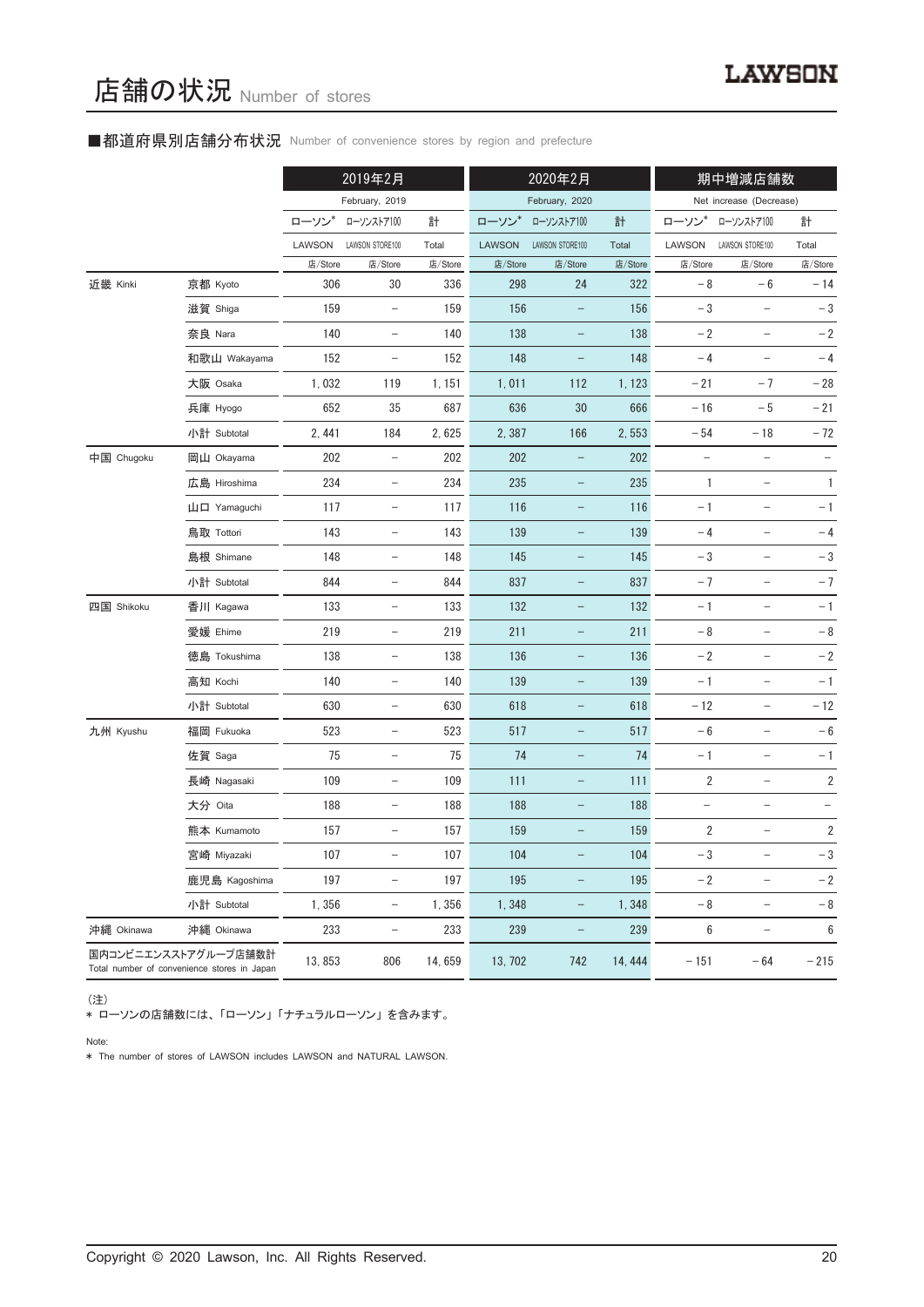# ■都道府県別店舗分布状況 Number of convenience stores by region and prefecture

|            |                                                                     | 2019年2月 |                          | 2020年2月 |                |                          | 期中増減店舗数 |                |                                   |                  |
|------------|---------------------------------------------------------------------|---------|--------------------------|---------|----------------|--------------------------|---------|----------------|-----------------------------------|------------------|
|            |                                                                     |         | February, 2019           |         | February, 2020 |                          |         |                | Net increase (Decrease)           |                  |
|            |                                                                     | ローソン*   | ローソンストア100               | 計       | ローソン*          | ローソンストア100               | 計       | ローソン           | ローソンストア100                        | 計                |
|            |                                                                     | LAWSON  | LAWSON STORE100          | Total   | <b>LAWSON</b>  | LAWSON STORE100          | Total   | LAWSON         | LAWSON STORE100                   | Total            |
|            |                                                                     | 店/Store | 店/Store                  | 店/Store | 店/Store        | 店/Store                  | 店/Store | 店/Store        | 店/Store                           | 店/Store          |
| 近畿 Kinki   | 京都 Kyoto                                                            | 306     | 30                       | 336     | 298            | 24                       | 322     | $-8$           | $-6$                              | $-14$            |
|            | 滋賀 Shiga                                                            | 159     | $\overline{\phantom{a}}$ | 159     | 156            | $\qquad \qquad -$        | 156     | $-3$           | $\overline{\phantom{0}}$          | $-3$             |
|            | 奈良 Nara                                                             | 140     | $\overline{\phantom{0}}$ | 140     | 138            |                          | 138     | $-2$           |                                   | $-2$             |
|            | 和歌山 Wakayama                                                        | 152     | $\overline{\phantom{a}}$ | 152     | 148            | $\qquad \qquad -$        | 148     | $-4$           |                                   | $-4$             |
|            | 大阪 Osaka                                                            | 1,032   | 119                      | 1, 151  | 1,011          | 112                      | 1, 123  | $-21$          | $-7$                              | $-28$            |
|            | 兵庫 Hyogo                                                            | 652     | 35                       | 687     | 636            | 30                       | 666     | $-16$          | $-5$                              | $-21$            |
|            | 小計 Subtotal                                                         | 2, 441  | 184                      | 2,625   | 2,387          | 166                      | 2,553   | $-54$          | $-18$                             | $-72$            |
| 中国 Chugoku | 岡山 Okayama                                                          | 202     |                          | 202     | 202            |                          | 202     |                |                                   |                  |
|            | 広島 Hiroshima                                                        | 234     | $\overline{\phantom{a}}$ | 234     | 235            | -                        | 235     | $\mathbf{1}$   | $\overline{\phantom{0}}$          | $\mathbf{1}$     |
|            | 山口 Yamaguchi                                                        | 117     | $\qquad \qquad -$        | 117     | 116            |                          | 116     | $-1$           | $\overline{\phantom{0}}$          | $-1$             |
|            | 鳥取 Tottori                                                          | 143     | $\qquad \qquad -$        | 143     | 139            |                          | 139     | $-4$           | $\overline{\phantom{0}}$          | $-4$             |
|            | 島根 Shimane                                                          | 148     | $\overline{\phantom{a}}$ | 148     | 145            | $\overline{\phantom{0}}$ | 145     | $-3$           | $\overline{\phantom{0}}$          | $-3$             |
|            | 小計 Subtotal                                                         | 844     | $\equiv$                 | 844     | 837            |                          | 837     | $-7$           | $\overline{\phantom{0}}$          | $-7$             |
| 四国 Shikoku | 香川 Kagawa                                                           | 133     | $\overline{\phantom{a}}$ | 133     | 132            | $\qquad \qquad -$        | 132     | $-1$           | $\overline{a}$                    | $-1$             |
|            | 愛媛 Ehime                                                            | 219     | $\overline{\phantom{0}}$ | 219     | 211            |                          | 211     | $-8$           |                                   | $-8$             |
|            | 徳島 Tokushima                                                        | 138     | $\overline{\phantom{a}}$ | 138     | 136            | $\qquad \qquad -$        | 136     | $-2$           | $\overline{\phantom{0}}$          | $-2$             |
|            | 高知 Kochi                                                            | 140     | $\overline{\phantom{0}}$ | 140     | 139            |                          | 139     | $-1$           | $\overline{\phantom{a}}$          | $-1$             |
|            | 小計 Subtotal                                                         | 630     | $\overline{\phantom{m}}$ | 630     | 618            |                          | 618     | $-12$          | $\overline{\phantom{0}}$          | $-12$            |
| 九州 Kyushu  | 福岡 Fukuoka                                                          | 523     | $\overline{\phantom{a}}$ | 523     | 517            | $\overline{\phantom{0}}$ | 517     | $-6$           | $\qquad \qquad -$                 | $-6$             |
|            | 佐賀 Saga                                                             | 75      | $\overline{\phantom{a}}$ | 75      | 74             | $\equiv$                 | 74      | $-1$           | $\qquad \qquad -$                 | $-1$             |
|            | 長崎 Nagasaki                                                         | 109     | $\overline{\phantom{0}}$ | 109     | 111            |                          | 111     | $\overline{2}$ |                                   | $\sqrt{2}$       |
|            | 大分 Oita                                                             | 188     |                          | 188     | 188            |                          | 188     |                |                                   |                  |
|            | 熊本 Kumamoto                                                         | 157     | $\qquad \qquad -$        | 157     | 159            | -                        | 159     | $\overline{2}$ | $\overline{\phantom{0}}$          | $\overline{2}$   |
|            | 宮崎 Miyazaki                                                         | 107     | $\qquad \qquad -$        | 107     | 104            |                          | 104     | $-3$           | $\qquad \qquad -$                 | $-3$             |
|            | 鹿児島 Kagoshima                                                       | 197     | $\overline{\phantom{0}}$ | 197     | 195            |                          | 195     | $-2$           | $\overline{\phantom{0}}$          | $-2$             |
|            | 小計 Subtotal                                                         | 1,356   | $\overline{\phantom{a}}$ | 1,356   | 1,348          | $\qquad \qquad -$        | 1,348   | - 8            | $\overline{\phantom{a}}$          | $-8$             |
| 沖縄 Okinawa | 沖縄 Okinawa                                                          | 233     | $\overline{\phantom{m}}$ | 233     | 239            | $\qquad \qquad -$        | 239     | $\,6$          | $\hspace{0.1in} - \hspace{0.1in}$ | $\boldsymbol{6}$ |
|            | 国内コンビニエンスストアグループ店舗数計<br>Total number of convenience stores in Japan | 13,853  | 806                      | 14,659  | 13, 702        | 742                      | 14, 444 | $-151$         | $-64$                             | $-215$           |

(注)

\* ローソンの店舗数には、 「ローソン」 「ナチュラルローソン」 を含みます。

Note:

\* The number of stores of LAWSON includes LAWSON and NATURAL LAWSON.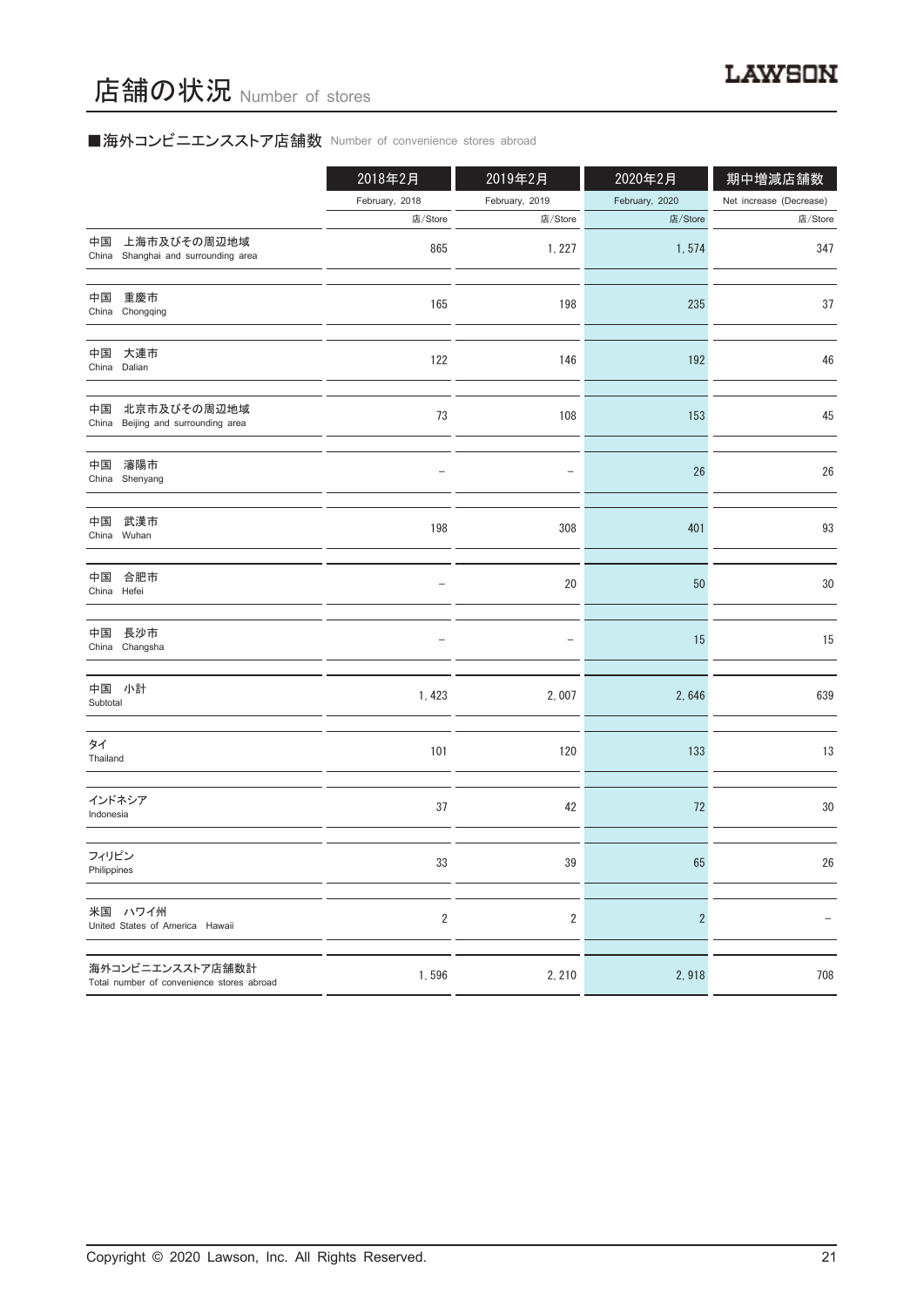# ■海外コンビニエンスストア店舗数 Number of convenience stores abroad

|                                                               | 2018年2月        | 2019年2月                  | 2020年2月        | 期中増減店舗数                 |
|---------------------------------------------------------------|----------------|--------------------------|----------------|-------------------------|
|                                                               | February, 2018 | February, 2019           | February, 2020 | Net increase (Decrease) |
|                                                               | 店/Store        | 店/Store                  | 店/Store        | 店/Store                 |
| 上海市及びその周辺地域<br>中国<br>China Shanghai and surrounding area      | 865            | 1, 227                   | 1,574          | 347                     |
| 中国<br>重慶市<br>China Chongqing                                  | 165            | 198                      | 235            | 37                      |
| 中国<br>大連市<br>China Dalian                                     | 122            | 146                      | 192            | 46                      |
| 北京市及びその周辺地域<br>中国<br>China Beijing and surrounding area       | 73             | 108                      | 153            | 45                      |
| 瀋陽市<br>中国<br>China Shenyang                                   |                | $\qquad \qquad -$        | 26             | 26                      |
| 中国<br>武漢市<br>China Wuhan                                      | 198            | 308                      | 401            | 93                      |
| 中国 合肥市<br>China Hefei                                         |                | 20                       | 50             | $30\,$                  |
| 中国 長沙市<br>China Changsha                                      |                | $\overline{\phantom{0}}$ | 15             | 15                      |
| 中国 小計<br>Subtotal                                             | 1,423          | 2,007                    | 2,646          | 639                     |
| タイ<br>Thailand                                                | 101            | 120                      | 133            | 13                      |
| インドネシア<br>Indonesia                                           | 37             | 42                       | 72             | $30\,$                  |
| フィリピン<br>Philippines                                          | 33             | 39                       | 65             | $26\,$                  |
| 米国 ハワイ州<br>United States of America Hawaii                    | $\sqrt{2}$     | $\sqrt{2}$               | $\overline{2}$ |                         |
| 海外コンビニエンスストア店舗数計<br>Total number of convenience stores abroad | 1,596          | 2, 210                   | 2,918          | 708                     |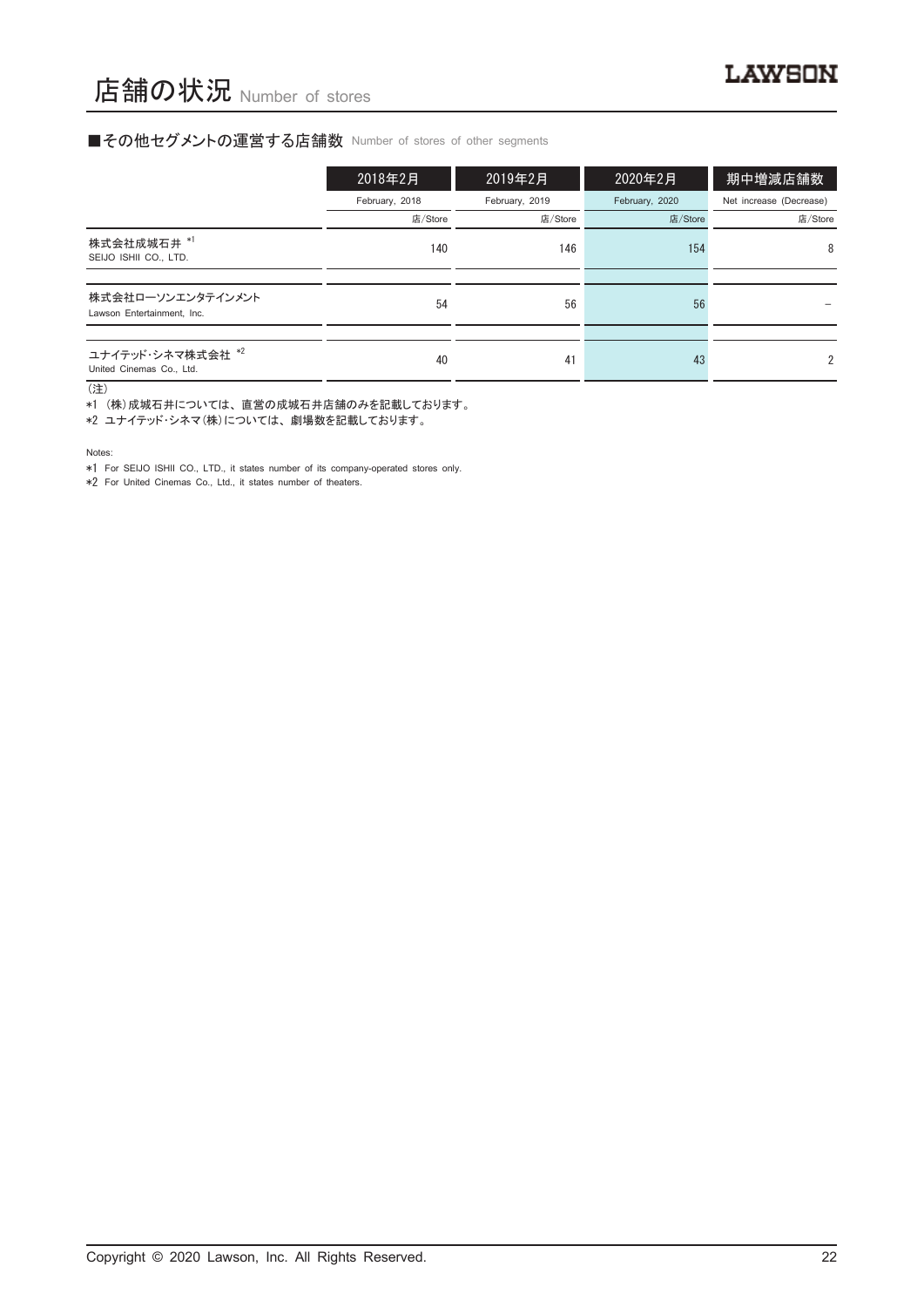### ■その他セグメントの運営する店舗数 Number of stores of other segments

|                                                 | 2018年2月        | 2019年2月        | 2020年2月        | 期中増減店舗数                 |
|-------------------------------------------------|----------------|----------------|----------------|-------------------------|
|                                                 | February, 2018 | February, 2019 | February, 2020 | Net increase (Decrease) |
|                                                 | 店/Store        | 店/Store        | 店/Store        | 店/Store                 |
| 株式会社成城石井 *1<br>SEIJO ISHII CO., LTD.            | 140            | 146            | 154            | 8                       |
|                                                 |                |                |                |                         |
| 株式会社ローソンエンタテインメント<br>Lawson Entertainment, Inc. | 54             | 56             | 56             |                         |
|                                                 |                |                |                |                         |
| ユナイテッド・シネマ株式会社 *2<br>United Cinemas Co., Ltd.   | 40             | 41             | 43             | $\overline{2}$          |

(注)

、……。<br>\*1 (株)成城石井については、直営の成城石井店舗のみを記載しております。

\*2 ユナイテッド・シネマ(株)については、 劇場数を記載しております。

Notes:

\*1 For SEIJO ISHII CO., LTD., it states number of its company-operated stores only.

\*2 For United Cinemas Co., Ltd., it states number of theaters.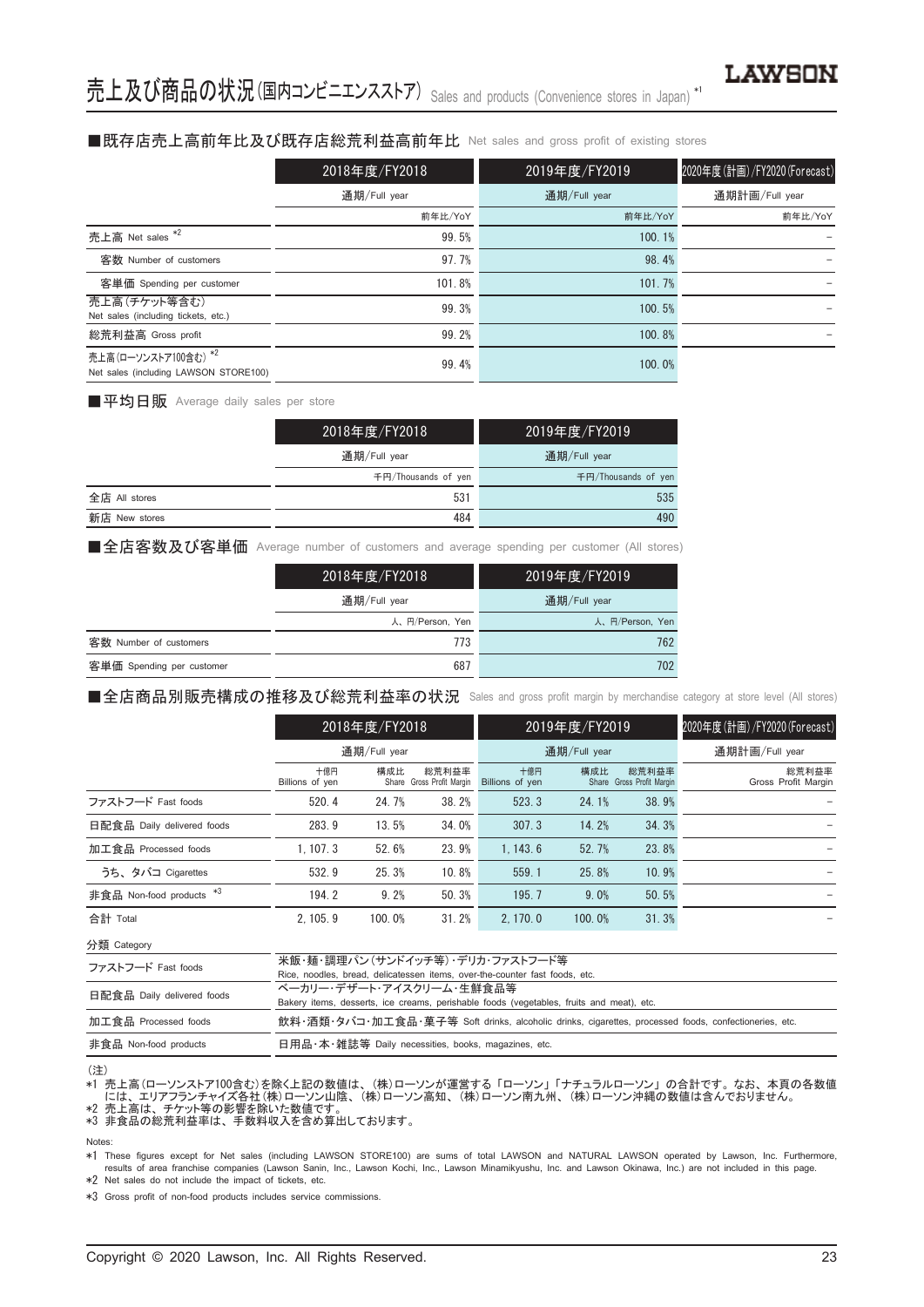#### ■既存店売上高前年比及び既存店総荒利益高前年比 Net sales and gross profit of existing stores

|                                                               | 2018年度/FY2018 | 2019年度/FY2019 | 2020年度(計画)/FY2020(Forecast) |
|---------------------------------------------------------------|---------------|---------------|-----------------------------|
|                                                               | 通期/Full year  | 通期/Full year  | 通期計画/Full year              |
|                                                               | 前年比/YoY       | 前年比/YoY       | 前年比/YoY                     |
| 売上高 Net sales *2                                              | 99.5%         | 100.1%        |                             |
| 客数 Number of customers                                        | 97.7%         | 98.4%         |                             |
| 客単価 Spending per customer                                     | 101.8%        | 101.7%        |                             |
| 売上高(チケット等含む)<br>Net sales (including tickets, etc.)           | 99.3%         | 100.5%        |                             |
| 総荒利益高 Gross profit                                            | 99.2%         | 100.8%        |                             |
| 売上高(ローソンストア100含む) *2<br>Net sales (including LAWSON STORE100) | 99.4%         | 100.0%        |                             |

■平均日販 Average daily sales per store

|               | 2018年度/FY2018       | 2019年度/FY2019       |
|---------------|---------------------|---------------------|
|               | 通期/Full year        | 通期/Full year        |
|               | 千円/Thousands of ven | 千円/Thousands of yen |
| 全店 All stores | 531                 | 535                 |
| 新店 New stores | 484                 | 490                 |

■全店客数及び客単価 Average number of customers and average spending per customer (All stores)

|                           | 2018年度/FY2018   | 2019年度/FY2019   |
|---------------------------|-----------------|-----------------|
|                           | 通期/Full year    | 通期/Full year    |
|                           | 人、円/Person, Yen | 人、円/Person, Yen |
| 客数 Number of customers    | 773             | 762             |
| 客単価 Spending per customer | 687             | 702             |

■全店商品別販売構成の推移及び総荒利益率の状況 Sales and gross profit margin by merchandise category at store level (All stores)

|                            | 2018年度/FY2018          |              | 2019年度/FY2019                      |                        |              | 2020年度(計画)/FY2020(Forecast)        |                              |
|----------------------------|------------------------|--------------|------------------------------------|------------------------|--------------|------------------------------------|------------------------------|
|                            |                        | 通期/Full year |                                    |                        | 通期/Full year | 通期計画/Full year                     |                              |
|                            | 十億円<br>Billions of yen | 構成比          | 総荒利益率<br>Share Gross Profit Margin | 十億円<br>Billions of yen | 構成比          | 総荒利益率<br>Share Gross Profit Margin | 総荒利益率<br>Gross Profit Margin |
| ファストフード Fast foods         | 520.4                  | 24.7%        | 38.2%                              | 523.3                  | 24.1%        | 38.9%                              |                              |
| 日配食品 Daily delivered foods | 283.9                  | 13.5%        | 34.0%                              | 307.3                  | 14.2%        | 34.3%                              |                              |
| 加工食品 Processed foods       | 1.107.3                | 52.6%        | 23.9%                              | 1.143.6                | 52.7%        | 23.8%                              |                              |
| うち、タバコ Cigarettes          | 532.9                  | 25.3%        | 10.8%                              | 559.1                  | 25.8%        | 10.9%                              |                              |
| 非食品 Non-food products *3   | 194.2                  | 9.2%         | 50.3%                              | 195.7                  | 9.0%         | 50.5%                              |                              |
| 合計 Total                   | 2.105.9                | 100.0%       | 31.2%                              | 2.170.0                | 100.0%       | 31.3%                              |                              |

分類 Category

| ファストフード Fast foods         | 米飯・麺・調理パン(サンドイッチ等)・デリカ・ファストフード等                                                                      |
|----------------------------|------------------------------------------------------------------------------------------------------|
|                            | Rice, noodles, bread, delicatessen items, over-the-counter fast foods, etc.                          |
| 日配食品 Daily delivered foods | ベーカリー・デザート・アイスクリーム・生鮮食品等                                                                             |
|                            | Bakery items, desserts, ice creams, perishable foods (vegetables, fruits and meat), etc.             |
| 加工食品 Processed foods       | 飲料・酒類・タバコ・加工食品・菓子等 Soft drinks, alcoholic drinks, cigarettes, processed foods, confectioneries, etc. |
| 非食品 Non-food products      | 日用品・本・雑誌等 Daily necessities, books, magazines, etc.                                                  |

(注)

\*1 売上高(ローソンストア100含む)を除く上記の数値は、 (株)ローソンが運営する 「ローソン」 「ナチュラルローソン」 の合計です。 なお、 本頁の各数値 - には、エリアフランチャイズ各社 (株) ローソン山陰、 (株) ローソン高知、 (株) ローソン南九州、 (株) ローソン沖縄の数値は含んでおりません。<br>\*2  売上高は、チケット等の影響を除いた数値です。<br>\*3  非食品の総荒利益率は、手数料収入を含め算出しております。

Notes:

\*1 These figures except for Net sales (including LAWSON STORE100) are sums of total LAWSON and NATURAL LAWSON operated by Lawson, Inc. Furthermore, results of area franchise companies (Lawson Sanin, Inc., Lawson Kochi, Inc., Lawson Minamikyushu, Inc. and Lawson Okinawa, Inc.) are not included in this page.

\*2 Net sales do not include the impact of tickets, etc.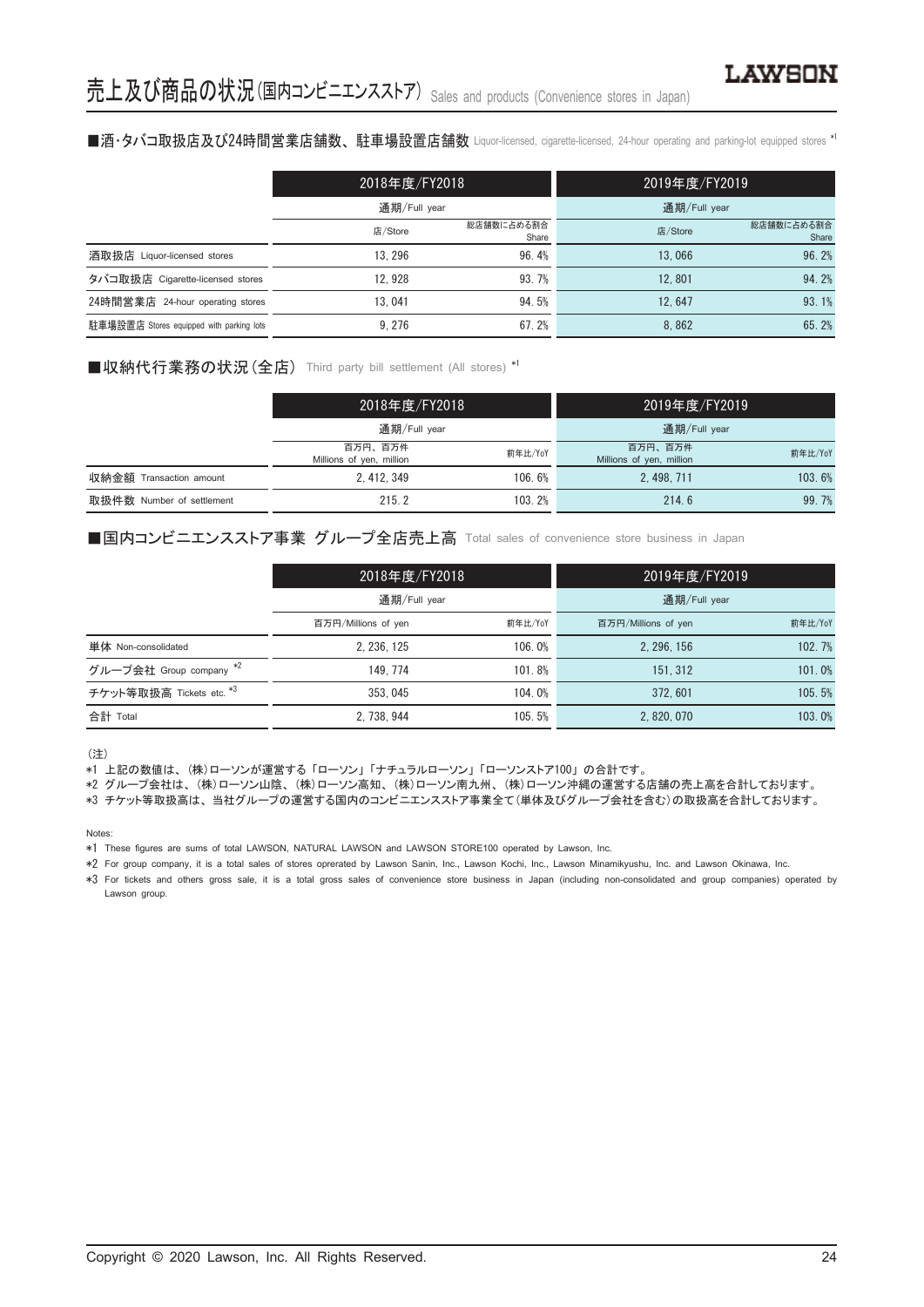#### ■酒・タバコ取扱店及び24時間営業店舗数、駐車場設置店舗数 Liquor-licensed, cigarette-licensed, 24-hour operating and parking-lot equipped stores \*i

|                                          | 2018年度/FY2018 |                     | 2019年度/FY2019 |                     |
|------------------------------------------|---------------|---------------------|---------------|---------------------|
|                                          | 通期/Full year  |                     | 通期/Full year  |                     |
|                                          | 店/Store       | 総店舗数に占める割合<br>Share | 店/Store       | 総店舗数に占める割合<br>Share |
| 酒取扱店 Liquor-licensed stores              | 13.296        | 96.4%               | 13.066        | 96.2%               |
| タバコ取扱店 Cigarette-licensed stores         | 12.928        | 93.7%               | 12.801        | 94.2%               |
| 24時間営業店 24-hour operating stores         | 13.041        | 94.5%               | 12.647        | 93.1%               |
| 駐車場設置店 Stores equipped with parking lots | 9.276         | 67.2%               | 8.862         | 65.2%               |

# ■収納代行業務の状況 (全店) Third party bill settlement (All stores) \*1

|                           | 2018年度/FY2018<br>通期/Full year       |         | 2019年度/FY2019                       |         |
|---------------------------|-------------------------------------|---------|-------------------------------------|---------|
|                           |                                     |         | 通期/Full year                        |         |
|                           | 百万円、百万件<br>Millions of yen, million | 前年比/YoY | 百万円、百万件<br>Millions of yen, million | 前年比/YoY |
| 収納金額 Transaction amount   | 2.412.349                           | 106.6%  | 2.498.711                           | 103.6%  |
| 取扱件数 Number of settlement | 215.2                               | 103.2%  | 214.6                               | 99.7%   |

# ■国内コンビニエンスストア事業 グループ全店売上高 Total sales of convenience store business in Japan

|                          | 2018年度/FY2018<br>通期/Full year |         | 2019年度/FY2019       |         |
|--------------------------|-------------------------------|---------|---------------------|---------|
|                          |                               |         | 通期/Full year        |         |
|                          | 百万円/Millions of yen           | 前年比/YoY | 百万円/Millions of yen | 前年比/YoY |
| 単体 Non-consolidated      | 2.236.125                     | 106.0%  | 2.296.156           | 102.7%  |
| グループ会社 Group company *2  | 149.774                       | 101.8%  | 151.312             | 101.0%  |
| チケット等取扱高 Tickets etc. *3 | 353, 045                      | 104.0%  | 372.601             | 105.5%  |
| 合計 Total                 | 2, 738, 944                   | 105.5%  | 2, 820, 070         | 103.0%  |

(注)

\*1 上記の数値は、 (株)ローソンが運営する 「ローソン」 「ナチュラルローソン」 「ローソンストア100」 の合計です。

\*2 グループ会社は、 (株)ローソン山陰、 (株)ローソン高知、 (株)ローソン南九州、 (株)ローソン沖縄の運営する店舗の売上高を合計しております。

\*3 チケット等取扱高は、 当社グループの運営する国内のコンビニエンスストア事業全て(単体及びグループ会社を含む)の取扱高を合計しております。

Notes:

\*1 These figures are sums of total LAWSON, NATURAL LAWSON and LAWSON STORE100 operated by Lawson, Inc.

\*2 For group company, it is a total sales of stores oprerated by Lawson Sanin, Inc., Lawson Kochi, Inc., Lawson Minamikyushu, Inc. and Lawson Okinawa, Inc.

\*3 For tickets and others gross sale, it is a total gross sales of convenience store business in Japan (including non-consolidated and group companies) operated by Lawson group.